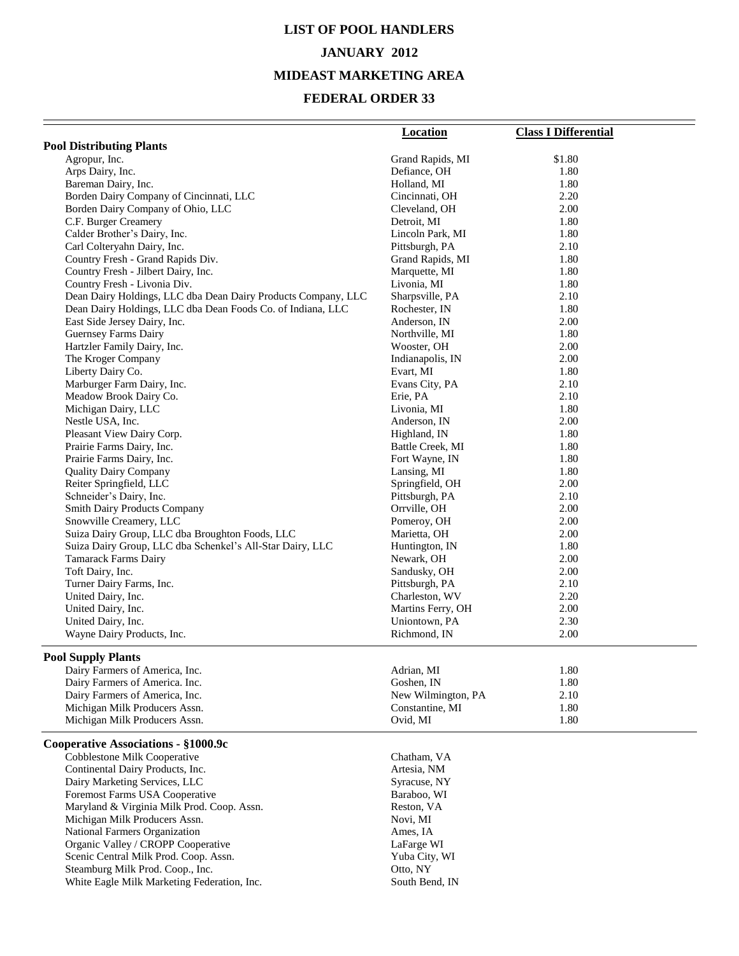# **LIST OF POOL HANDLERS JANUARY 2012 MIDEAST MARKETING AREA**

|                                                               | <b>Location</b>         | <b>Class I Differential</b> |
|---------------------------------------------------------------|-------------------------|-----------------------------|
| <b>Pool Distributing Plants</b>                               |                         |                             |
| Agropur, Inc.                                                 | Grand Rapids, MI        | \$1.80                      |
| Arps Dairy, Inc.                                              | Defiance, OH            | 1.80                        |
| Bareman Dairy, Inc.                                           | Holland, MI             | 1.80                        |
| Borden Dairy Company of Cincinnati, LLC                       | Cincinnati, OH          | 2.20                        |
| Borden Dairy Company of Ohio, LLC                             | Cleveland, OH           | 2.00                        |
| C.F. Burger Creamery                                          | Detroit, MI             | 1.80                        |
| Calder Brother's Dairy, Inc.                                  | Lincoln Park, MI        | 1.80                        |
| Carl Colteryahn Dairy, Inc.                                   | Pittsburgh, PA          | 2.10                        |
| Country Fresh - Grand Rapids Div.                             | Grand Rapids, MI        | 1.80                        |
| Country Fresh - Jilbert Dairy, Inc.                           | Marquette, MI           | 1.80                        |
| Country Fresh - Livonia Div.                                  | Livonia, MI             | 1.80                        |
| Dean Dairy Holdings, LLC dba Dean Dairy Products Company, LLC | Sharpsville, PA         | 2.10                        |
| Dean Dairy Holdings, LLC dba Dean Foods Co. of Indiana, LLC   | Rochester, IN           | 1.80                        |
| East Side Jersey Dairy, Inc.                                  | Anderson, IN            | 2.00                        |
| <b>Guernsey Farms Dairy</b>                                   | Northville, MI          | 1.80                        |
| Hartzler Family Dairy, Inc.                                   | Wooster, OH             | 2.00                        |
| The Kroger Company                                            | Indianapolis, IN        | 2.00                        |
| Liberty Dairy Co.                                             | Evart, MI               | 1.80                        |
| Marburger Farm Dairy, Inc.                                    | Evans City, PA          | 2.10                        |
| Meadow Brook Dairy Co.                                        | Erie, PA<br>Livonia, MI | 2.10<br>1.80                |
| Michigan Dairy, LLC<br>Nestle USA, Inc.                       | Anderson, IN            | 2.00                        |
| Pleasant View Dairy Corp.                                     | Highland, IN            | 1.80                        |
| Prairie Farms Dairy, Inc.                                     | Battle Creek, MI        | 1.80                        |
| Prairie Farms Dairy, Inc.                                     | Fort Wayne, IN          | 1.80                        |
| <b>Quality Dairy Company</b>                                  | Lansing, MI             | 1.80                        |
| Reiter Springfield, LLC                                       | Springfield, OH         | 2.00                        |
| Schneider's Dairy, Inc.                                       | Pittsburgh, PA          | 2.10                        |
| <b>Smith Dairy Products Company</b>                           | Orrville, OH            | 2.00                        |
| Snowville Creamery, LLC                                       | Pomeroy, OH             | 2.00                        |
| Suiza Dairy Group, LLC dba Broughton Foods, LLC               | Marietta, OH            | 2.00                        |
| Suiza Dairy Group, LLC dba Schenkel's All-Star Dairy, LLC     | Huntington, IN          | 1.80                        |
| Tamarack Farms Dairy                                          | Newark, OH              | 2.00                        |
| Toft Dairy, Inc.                                              | Sandusky, OH            | 2.00                        |
| Turner Dairy Farms, Inc.                                      | Pittsburgh, PA          | 2.10                        |
| United Dairy, Inc.                                            | Charleston, WV          | 2.20                        |
| United Dairy, Inc.                                            | Martins Ferry, OH       | 2.00                        |
| United Dairy, Inc.                                            | Uniontown, PA           | 2.30                        |
| Wayne Dairy Products, Inc.                                    | Richmond, IN            | 2.00                        |
| <b>Pool Supply Plants</b>                                     |                         |                             |
| Dairy Farmers of America, Inc.                                | Adrian, MI              | 1.80                        |
| Dairy Farmers of America. Inc.                                | Goshen, IN              | 1.80                        |
| Dairy Farmers of America, Inc.                                | New Wilmington, PA      | 2.10                        |
| Michigan Milk Producers Assn.                                 | Constantine, MI         | 1.80                        |
| Michigan Milk Producers Assn.                                 | Ovid, MI                | 1.80                        |
| Cooperative Associations - §1000.9c                           |                         |                             |
| Cobblestone Milk Cooperative                                  | Chatham, VA             |                             |
| Continental Dairy Products, Inc.                              | Artesia, NM             |                             |
| Dairy Marketing Services, LLC                                 | Syracuse, NY            |                             |
| Foremost Farms USA Cooperative                                | Baraboo, WI             |                             |
| Maryland & Virginia Milk Prod. Coop. Assn.                    | Reston, VA              |                             |
| Michigan Milk Producers Assn.                                 | Novi, MI                |                             |
| National Farmers Organization                                 | Ames, IA                |                             |
| Organic Valley / CROPP Cooperative                            | LaFarge WI              |                             |
| Scenic Central Milk Prod. Coop. Assn.                         | Yuba City, WI           |                             |
| Steamburg Milk Prod. Coop., Inc.                              | Otto, NY                |                             |
| White Eagle Milk Marketing Federation, Inc.                   | South Bend, IN          |                             |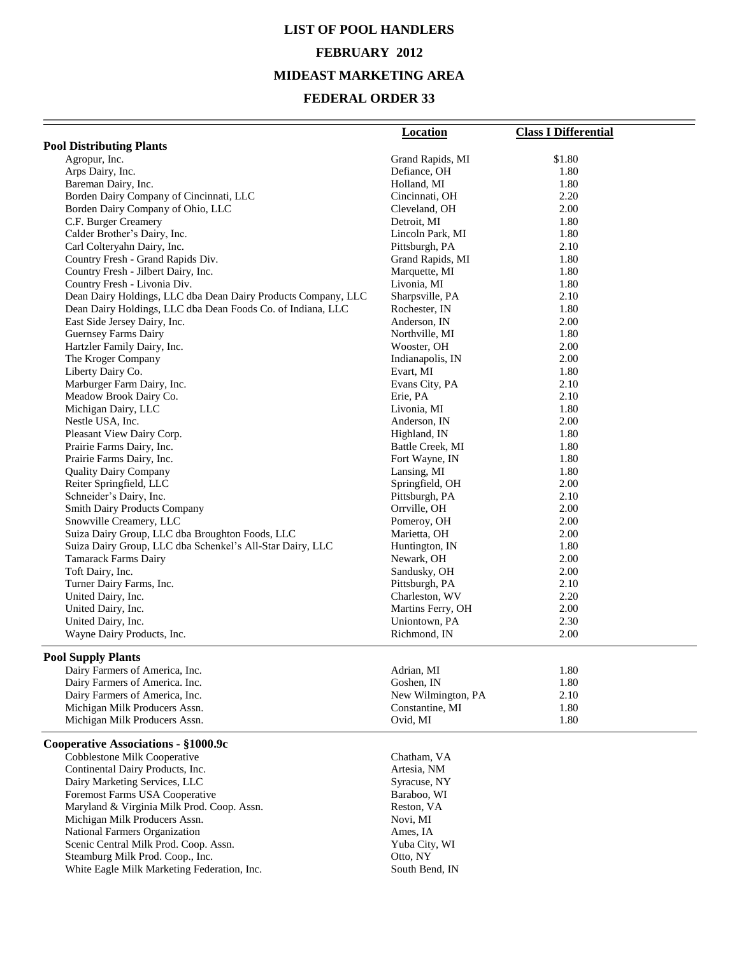# **LIST OF POOL HANDLERS FEBRUARY 2012 MIDEAST MARKETING AREA**

|                                                               | <b>Location</b>               | <b>Class I Differential</b> |
|---------------------------------------------------------------|-------------------------------|-----------------------------|
| <b>Pool Distributing Plants</b>                               |                               |                             |
| Agropur, Inc.                                                 | Grand Rapids, MI              | \$1.80                      |
| Arps Dairy, Inc.                                              | Defiance, OH                  | 1.80                        |
| Bareman Dairy, Inc.                                           | Holland, MI                   | 1.80                        |
| Borden Dairy Company of Cincinnati, LLC                       | Cincinnati, OH                | 2.20                        |
| Borden Dairy Company of Ohio, LLC                             | Cleveland, OH                 | 2.00                        |
| C.F. Burger Creamery                                          | Detroit, MI                   | 1.80                        |
| Calder Brother's Dairy, Inc.                                  | Lincoln Park, MI              | 1.80                        |
| Carl Colteryahn Dairy, Inc.                                   | Pittsburgh, PA                | 2.10                        |
| Country Fresh - Grand Rapids Div.                             | Grand Rapids, MI              | 1.80                        |
| Country Fresh - Jilbert Dairy, Inc.                           | Marquette, MI                 | 1.80                        |
| Country Fresh - Livonia Div.                                  | Livonia, MI                   | 1.80                        |
| Dean Dairy Holdings, LLC dba Dean Dairy Products Company, LLC | Sharpsville, PA               | 2.10                        |
| Dean Dairy Holdings, LLC dba Dean Foods Co. of Indiana, LLC   | Rochester, IN                 | 1.80                        |
| East Side Jersey Dairy, Inc.                                  | Anderson, IN                  | 2.00                        |
| Guernsey Farms Dairy                                          | Northville, MI                | 1.80                        |
| Hartzler Family Dairy, Inc.                                   | Wooster, OH                   | 2.00                        |
| The Kroger Company                                            | Indianapolis, IN              | 2.00                        |
| Liberty Dairy Co.                                             | Evart, MI                     | 1.80                        |
| Marburger Farm Dairy, Inc.                                    | Evans City, PA                | 2.10                        |
| Meadow Brook Dairy Co.                                        | Erie, PA                      | 2.10                        |
| Michigan Dairy, LLC                                           | Livonia, MI                   | 1.80                        |
| Nestle USA, Inc.                                              | Anderson, IN                  | 2.00                        |
| Pleasant View Dairy Corp.                                     | Highland, IN                  | 1.80                        |
| Prairie Farms Dairy, Inc.                                     | Battle Creek, MI              | 1.80                        |
| Prairie Farms Dairy, Inc.                                     | Fort Wayne, IN                | 1.80                        |
| <b>Quality Dairy Company</b>                                  | Lansing, MI                   | 1.80                        |
| Reiter Springfield, LLC                                       | Springfield, OH               | 2.00                        |
| Schneider's Dairy, Inc.                                       | Pittsburgh, PA                | 2.10                        |
| Smith Dairy Products Company                                  | Orrville, OH                  | 2.00                        |
| Snowville Creamery, LLC                                       | Pomeroy, OH                   | 2.00                        |
| Suiza Dairy Group, LLC dba Broughton Foods, LLC               | Marietta, OH                  | 2.00                        |
| Suiza Dairy Group, LLC dba Schenkel's All-Star Dairy, LLC     | Huntington, IN                | 1.80                        |
| Tamarack Farms Dairy                                          | Newark, OH                    | 2.00                        |
| Toft Dairy, Inc.                                              | Sandusky, OH                  | 2.00                        |
| Turner Dairy Farms, Inc.                                      | Pittsburgh, PA                | 2.10<br>2.20                |
| United Dairy, Inc.<br>United Dairy, Inc.                      | Charleston, WV                |                             |
|                                                               | Martins Ferry, OH             | 2.00<br>2.30                |
| United Dairy, Inc.<br>Wayne Dairy Products, Inc.              | Uniontown, PA<br>Richmond, IN | 2.00                        |
|                                                               |                               |                             |
| <b>Pool Supply Plants</b>                                     |                               |                             |
| Dairy Farmers of America, Inc.                                | Adrian, MI                    | 1.80                        |
| Dairy Farmers of America. Inc.                                | Goshen, IN                    | 1.80                        |
| Dairy Farmers of America, Inc.                                | New Wilmington, PA            | 2.10                        |
| Michigan Milk Producers Assn.                                 | Constantine, MI               | 1.80                        |
| Michigan Milk Producers Assn.                                 | Ovid, MI                      | 1.80                        |
| Cooperative Associations - §1000.9c                           |                               |                             |
| Cobblestone Milk Cooperative                                  | Chatham, VA                   |                             |
| Continental Dairy Products, Inc.                              | Artesia, NM                   |                             |
| Dairy Marketing Services, LLC                                 | Syracuse, NY                  |                             |
| Foremost Farms USA Cooperative                                | Baraboo, WI                   |                             |
| Maryland & Virginia Milk Prod. Coop. Assn.                    | Reston, VA                    |                             |
| Michigan Milk Producers Assn.                                 | Novi, MI                      |                             |
| National Farmers Organization                                 | Ames, IA                      |                             |
| Scenic Central Milk Prod. Coop. Assn.                         | Yuba City, WI                 |                             |
| Steamburg Milk Prod. Coop., Inc.                              | Otto, NY                      |                             |
| White Eagle Milk Marketing Federation, Inc.                   | South Bend, IN                |                             |
|                                                               |                               |                             |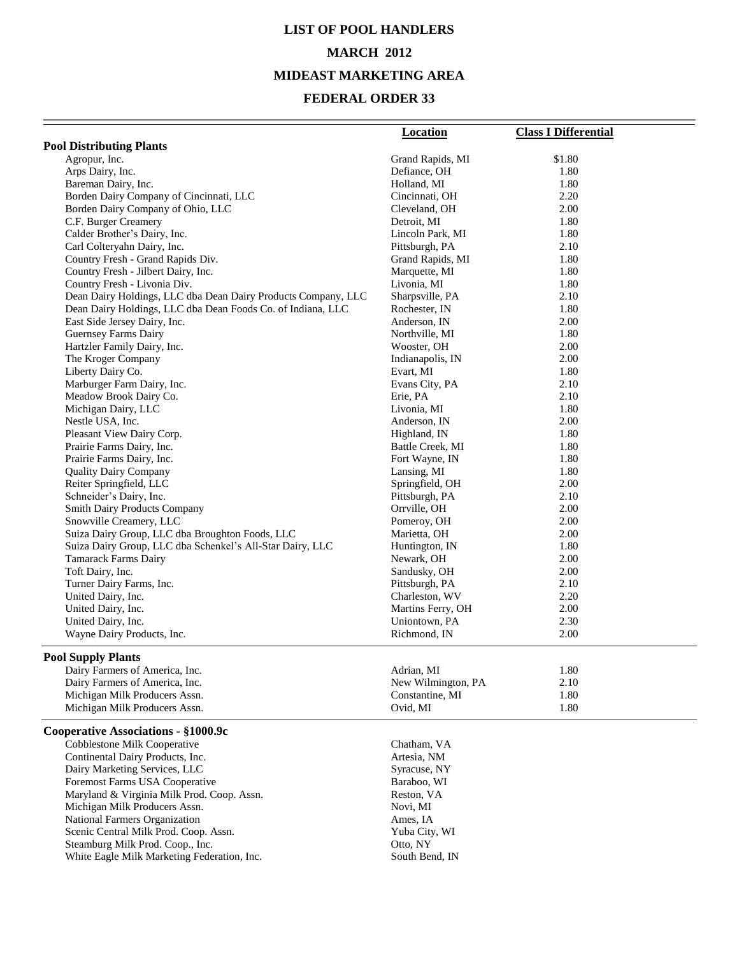## **LIST OF POOL HANDLERS MARCH 2012 MIDEAST MARKETING AREA**

| <b>Pool Distributing Plants</b><br>Agropur, Inc.<br>Grand Rapids, MI<br>\$1.80<br>Arps Dairy, Inc.<br>Defiance, OH<br>1.80<br>Bareman Dairy, Inc.<br>Holland, MI<br>1.80<br>2.20<br>Borden Dairy Company of Cincinnati, LLC<br>Cincinnati, OH<br>Borden Dairy Company of Ohio, LLC<br>Cleveland, OH<br>2.00<br>C.F. Burger Creamery<br>1.80<br>Detroit, MI<br>Calder Brother's Dairy, Inc.<br>1.80<br>Lincoln Park, MI<br>Carl Colteryahn Dairy, Inc.<br>2.10<br>Pittsburgh, PA<br>Country Fresh - Grand Rapids Div.<br>Grand Rapids, MI<br>1.80<br>Country Fresh - Jilbert Dairy, Inc.<br>Marquette, MI<br>1.80<br>Country Fresh - Livonia Div.<br>Livonia, MI<br>1.80<br>Dean Dairy Holdings, LLC dba Dean Dairy Products Company, LLC<br>Sharpsville, PA<br>2.10<br>Dean Dairy Holdings, LLC dba Dean Foods Co. of Indiana, LLC<br>Rochester, IN<br>1.80<br>East Side Jersey Dairy, Inc.<br>Anderson, IN<br>2.00<br>1.80<br><b>Guernsey Farms Dairy</b><br>Northville, MI<br>Hartzler Family Dairy, Inc.<br>2.00<br>Wooster, OH<br>The Kroger Company<br>2.00<br>Indianapolis, IN<br>Liberty Dairy Co.<br>Evart, MI<br>1.80<br>Marburger Farm Dairy, Inc.<br>Evans City, PA<br>2.10<br>Meadow Brook Dairy Co.<br>2.10<br>Erie, PA<br>Michigan Dairy, LLC<br>1.80<br>Livonia, MI<br>Nestle USA, Inc.<br>Anderson, IN<br>2.00<br>Pleasant View Dairy Corp.<br>Highland, IN<br>1.80<br>Battle Creek, MI<br>1.80<br>Prairie Farms Dairy, Inc.<br>Prairie Farms Dairy, Inc.<br>Fort Wayne, IN<br>1.80<br>1.80<br>Lansing, MI<br><b>Quality Dairy Company</b><br>Reiter Springfield, LLC<br>Springfield, OH<br>2.00<br>Schneider's Dairy, Inc.<br>Pittsburgh, PA<br>2.10<br><b>Smith Dairy Products Company</b><br>Orrville, OH<br>2.00<br>Snowville Creamery, LLC<br>Pomeroy, OH<br>2.00<br>Suiza Dairy Group, LLC dba Broughton Foods, LLC<br>Marietta, OH<br>2.00<br>Suiza Dairy Group, LLC dba Schenkel's All-Star Dairy, LLC<br>Huntington, IN<br>1.80<br>Tamarack Farms Dairy<br>Newark, OH<br>2.00<br>Toft Dairy, Inc.<br>Sandusky, OH<br>$2.00\,$<br>Turner Dairy Farms, Inc.<br>Pittsburgh, PA<br>2.10<br>United Dairy, Inc.<br>Charleston, WV<br>2.20<br>United Dairy, Inc.<br>Martins Ferry, OH<br>2.00<br>United Dairy, Inc.<br>Uniontown, PA<br>2.30<br>Wayne Dairy Products, Inc.<br>2.00<br>Richmond, IN<br><b>Pool Supply Plants</b><br>Dairy Farmers of America, Inc.<br>Adrian, MI<br>1.80<br>Dairy Farmers of America, Inc.<br>New Wilmington, PA<br>2.10<br>Michigan Milk Producers Assn.<br>Constantine, MI<br>1.80<br>Michigan Milk Producers Assn.<br>Ovid, MI<br>1.80<br>Cooperative Associations - §1000.9c<br>Cobblestone Milk Cooperative<br>Chatham, VA<br>Continental Dairy Products, Inc.<br>Artesia, NM<br>Dairy Marketing Services, LLC<br>Syracuse, NY | <b>Location</b> | <b>Class I Differential</b> |
|--------------------------------------------------------------------------------------------------------------------------------------------------------------------------------------------------------------------------------------------------------------------------------------------------------------------------------------------------------------------------------------------------------------------------------------------------------------------------------------------------------------------------------------------------------------------------------------------------------------------------------------------------------------------------------------------------------------------------------------------------------------------------------------------------------------------------------------------------------------------------------------------------------------------------------------------------------------------------------------------------------------------------------------------------------------------------------------------------------------------------------------------------------------------------------------------------------------------------------------------------------------------------------------------------------------------------------------------------------------------------------------------------------------------------------------------------------------------------------------------------------------------------------------------------------------------------------------------------------------------------------------------------------------------------------------------------------------------------------------------------------------------------------------------------------------------------------------------------------------------------------------------------------------------------------------------------------------------------------------------------------------------------------------------------------------------------------------------------------------------------------------------------------------------------------------------------------------------------------------------------------------------------------------------------------------------------------------------------------------------------------------------------------------------------------------------------------------------------------------------------------------------------------------------------------------------------------------------------------------------------------------------------------------------------------------------------------------------------------------------------------------------------------------|-----------------|-----------------------------|
|                                                                                                                                                                                                                                                                                                                                                                                                                                                                                                                                                                                                                                                                                                                                                                                                                                                                                                                                                                                                                                                                                                                                                                                                                                                                                                                                                                                                                                                                                                                                                                                                                                                                                                                                                                                                                                                                                                                                                                                                                                                                                                                                                                                                                                                                                                                                                                                                                                                                                                                                                                                                                                                                                                                                                                                      |                 |                             |
|                                                                                                                                                                                                                                                                                                                                                                                                                                                                                                                                                                                                                                                                                                                                                                                                                                                                                                                                                                                                                                                                                                                                                                                                                                                                                                                                                                                                                                                                                                                                                                                                                                                                                                                                                                                                                                                                                                                                                                                                                                                                                                                                                                                                                                                                                                                                                                                                                                                                                                                                                                                                                                                                                                                                                                                      |                 |                             |
|                                                                                                                                                                                                                                                                                                                                                                                                                                                                                                                                                                                                                                                                                                                                                                                                                                                                                                                                                                                                                                                                                                                                                                                                                                                                                                                                                                                                                                                                                                                                                                                                                                                                                                                                                                                                                                                                                                                                                                                                                                                                                                                                                                                                                                                                                                                                                                                                                                                                                                                                                                                                                                                                                                                                                                                      |                 |                             |
|                                                                                                                                                                                                                                                                                                                                                                                                                                                                                                                                                                                                                                                                                                                                                                                                                                                                                                                                                                                                                                                                                                                                                                                                                                                                                                                                                                                                                                                                                                                                                                                                                                                                                                                                                                                                                                                                                                                                                                                                                                                                                                                                                                                                                                                                                                                                                                                                                                                                                                                                                                                                                                                                                                                                                                                      |                 |                             |
|                                                                                                                                                                                                                                                                                                                                                                                                                                                                                                                                                                                                                                                                                                                                                                                                                                                                                                                                                                                                                                                                                                                                                                                                                                                                                                                                                                                                                                                                                                                                                                                                                                                                                                                                                                                                                                                                                                                                                                                                                                                                                                                                                                                                                                                                                                                                                                                                                                                                                                                                                                                                                                                                                                                                                                                      |                 |                             |
|                                                                                                                                                                                                                                                                                                                                                                                                                                                                                                                                                                                                                                                                                                                                                                                                                                                                                                                                                                                                                                                                                                                                                                                                                                                                                                                                                                                                                                                                                                                                                                                                                                                                                                                                                                                                                                                                                                                                                                                                                                                                                                                                                                                                                                                                                                                                                                                                                                                                                                                                                                                                                                                                                                                                                                                      |                 |                             |
|                                                                                                                                                                                                                                                                                                                                                                                                                                                                                                                                                                                                                                                                                                                                                                                                                                                                                                                                                                                                                                                                                                                                                                                                                                                                                                                                                                                                                                                                                                                                                                                                                                                                                                                                                                                                                                                                                                                                                                                                                                                                                                                                                                                                                                                                                                                                                                                                                                                                                                                                                                                                                                                                                                                                                                                      |                 |                             |
|                                                                                                                                                                                                                                                                                                                                                                                                                                                                                                                                                                                                                                                                                                                                                                                                                                                                                                                                                                                                                                                                                                                                                                                                                                                                                                                                                                                                                                                                                                                                                                                                                                                                                                                                                                                                                                                                                                                                                                                                                                                                                                                                                                                                                                                                                                                                                                                                                                                                                                                                                                                                                                                                                                                                                                                      |                 |                             |
|                                                                                                                                                                                                                                                                                                                                                                                                                                                                                                                                                                                                                                                                                                                                                                                                                                                                                                                                                                                                                                                                                                                                                                                                                                                                                                                                                                                                                                                                                                                                                                                                                                                                                                                                                                                                                                                                                                                                                                                                                                                                                                                                                                                                                                                                                                                                                                                                                                                                                                                                                                                                                                                                                                                                                                                      |                 |                             |
|                                                                                                                                                                                                                                                                                                                                                                                                                                                                                                                                                                                                                                                                                                                                                                                                                                                                                                                                                                                                                                                                                                                                                                                                                                                                                                                                                                                                                                                                                                                                                                                                                                                                                                                                                                                                                                                                                                                                                                                                                                                                                                                                                                                                                                                                                                                                                                                                                                                                                                                                                                                                                                                                                                                                                                                      |                 |                             |
|                                                                                                                                                                                                                                                                                                                                                                                                                                                                                                                                                                                                                                                                                                                                                                                                                                                                                                                                                                                                                                                                                                                                                                                                                                                                                                                                                                                                                                                                                                                                                                                                                                                                                                                                                                                                                                                                                                                                                                                                                                                                                                                                                                                                                                                                                                                                                                                                                                                                                                                                                                                                                                                                                                                                                                                      |                 |                             |
|                                                                                                                                                                                                                                                                                                                                                                                                                                                                                                                                                                                                                                                                                                                                                                                                                                                                                                                                                                                                                                                                                                                                                                                                                                                                                                                                                                                                                                                                                                                                                                                                                                                                                                                                                                                                                                                                                                                                                                                                                                                                                                                                                                                                                                                                                                                                                                                                                                                                                                                                                                                                                                                                                                                                                                                      |                 |                             |
|                                                                                                                                                                                                                                                                                                                                                                                                                                                                                                                                                                                                                                                                                                                                                                                                                                                                                                                                                                                                                                                                                                                                                                                                                                                                                                                                                                                                                                                                                                                                                                                                                                                                                                                                                                                                                                                                                                                                                                                                                                                                                                                                                                                                                                                                                                                                                                                                                                                                                                                                                                                                                                                                                                                                                                                      |                 |                             |
|                                                                                                                                                                                                                                                                                                                                                                                                                                                                                                                                                                                                                                                                                                                                                                                                                                                                                                                                                                                                                                                                                                                                                                                                                                                                                                                                                                                                                                                                                                                                                                                                                                                                                                                                                                                                                                                                                                                                                                                                                                                                                                                                                                                                                                                                                                                                                                                                                                                                                                                                                                                                                                                                                                                                                                                      |                 |                             |
|                                                                                                                                                                                                                                                                                                                                                                                                                                                                                                                                                                                                                                                                                                                                                                                                                                                                                                                                                                                                                                                                                                                                                                                                                                                                                                                                                                                                                                                                                                                                                                                                                                                                                                                                                                                                                                                                                                                                                                                                                                                                                                                                                                                                                                                                                                                                                                                                                                                                                                                                                                                                                                                                                                                                                                                      |                 |                             |
|                                                                                                                                                                                                                                                                                                                                                                                                                                                                                                                                                                                                                                                                                                                                                                                                                                                                                                                                                                                                                                                                                                                                                                                                                                                                                                                                                                                                                                                                                                                                                                                                                                                                                                                                                                                                                                                                                                                                                                                                                                                                                                                                                                                                                                                                                                                                                                                                                                                                                                                                                                                                                                                                                                                                                                                      |                 |                             |
|                                                                                                                                                                                                                                                                                                                                                                                                                                                                                                                                                                                                                                                                                                                                                                                                                                                                                                                                                                                                                                                                                                                                                                                                                                                                                                                                                                                                                                                                                                                                                                                                                                                                                                                                                                                                                                                                                                                                                                                                                                                                                                                                                                                                                                                                                                                                                                                                                                                                                                                                                                                                                                                                                                                                                                                      |                 |                             |
|                                                                                                                                                                                                                                                                                                                                                                                                                                                                                                                                                                                                                                                                                                                                                                                                                                                                                                                                                                                                                                                                                                                                                                                                                                                                                                                                                                                                                                                                                                                                                                                                                                                                                                                                                                                                                                                                                                                                                                                                                                                                                                                                                                                                                                                                                                                                                                                                                                                                                                                                                                                                                                                                                                                                                                                      |                 |                             |
|                                                                                                                                                                                                                                                                                                                                                                                                                                                                                                                                                                                                                                                                                                                                                                                                                                                                                                                                                                                                                                                                                                                                                                                                                                                                                                                                                                                                                                                                                                                                                                                                                                                                                                                                                                                                                                                                                                                                                                                                                                                                                                                                                                                                                                                                                                                                                                                                                                                                                                                                                                                                                                                                                                                                                                                      |                 |                             |
|                                                                                                                                                                                                                                                                                                                                                                                                                                                                                                                                                                                                                                                                                                                                                                                                                                                                                                                                                                                                                                                                                                                                                                                                                                                                                                                                                                                                                                                                                                                                                                                                                                                                                                                                                                                                                                                                                                                                                                                                                                                                                                                                                                                                                                                                                                                                                                                                                                                                                                                                                                                                                                                                                                                                                                                      |                 |                             |
|                                                                                                                                                                                                                                                                                                                                                                                                                                                                                                                                                                                                                                                                                                                                                                                                                                                                                                                                                                                                                                                                                                                                                                                                                                                                                                                                                                                                                                                                                                                                                                                                                                                                                                                                                                                                                                                                                                                                                                                                                                                                                                                                                                                                                                                                                                                                                                                                                                                                                                                                                                                                                                                                                                                                                                                      |                 |                             |
|                                                                                                                                                                                                                                                                                                                                                                                                                                                                                                                                                                                                                                                                                                                                                                                                                                                                                                                                                                                                                                                                                                                                                                                                                                                                                                                                                                                                                                                                                                                                                                                                                                                                                                                                                                                                                                                                                                                                                                                                                                                                                                                                                                                                                                                                                                                                                                                                                                                                                                                                                                                                                                                                                                                                                                                      |                 |                             |
|                                                                                                                                                                                                                                                                                                                                                                                                                                                                                                                                                                                                                                                                                                                                                                                                                                                                                                                                                                                                                                                                                                                                                                                                                                                                                                                                                                                                                                                                                                                                                                                                                                                                                                                                                                                                                                                                                                                                                                                                                                                                                                                                                                                                                                                                                                                                                                                                                                                                                                                                                                                                                                                                                                                                                                                      |                 |                             |
|                                                                                                                                                                                                                                                                                                                                                                                                                                                                                                                                                                                                                                                                                                                                                                                                                                                                                                                                                                                                                                                                                                                                                                                                                                                                                                                                                                                                                                                                                                                                                                                                                                                                                                                                                                                                                                                                                                                                                                                                                                                                                                                                                                                                                                                                                                                                                                                                                                                                                                                                                                                                                                                                                                                                                                                      |                 |                             |
|                                                                                                                                                                                                                                                                                                                                                                                                                                                                                                                                                                                                                                                                                                                                                                                                                                                                                                                                                                                                                                                                                                                                                                                                                                                                                                                                                                                                                                                                                                                                                                                                                                                                                                                                                                                                                                                                                                                                                                                                                                                                                                                                                                                                                                                                                                                                                                                                                                                                                                                                                                                                                                                                                                                                                                                      |                 |                             |
|                                                                                                                                                                                                                                                                                                                                                                                                                                                                                                                                                                                                                                                                                                                                                                                                                                                                                                                                                                                                                                                                                                                                                                                                                                                                                                                                                                                                                                                                                                                                                                                                                                                                                                                                                                                                                                                                                                                                                                                                                                                                                                                                                                                                                                                                                                                                                                                                                                                                                                                                                                                                                                                                                                                                                                                      |                 |                             |
|                                                                                                                                                                                                                                                                                                                                                                                                                                                                                                                                                                                                                                                                                                                                                                                                                                                                                                                                                                                                                                                                                                                                                                                                                                                                                                                                                                                                                                                                                                                                                                                                                                                                                                                                                                                                                                                                                                                                                                                                                                                                                                                                                                                                                                                                                                                                                                                                                                                                                                                                                                                                                                                                                                                                                                                      |                 |                             |
|                                                                                                                                                                                                                                                                                                                                                                                                                                                                                                                                                                                                                                                                                                                                                                                                                                                                                                                                                                                                                                                                                                                                                                                                                                                                                                                                                                                                                                                                                                                                                                                                                                                                                                                                                                                                                                                                                                                                                                                                                                                                                                                                                                                                                                                                                                                                                                                                                                                                                                                                                                                                                                                                                                                                                                                      |                 |                             |
|                                                                                                                                                                                                                                                                                                                                                                                                                                                                                                                                                                                                                                                                                                                                                                                                                                                                                                                                                                                                                                                                                                                                                                                                                                                                                                                                                                                                                                                                                                                                                                                                                                                                                                                                                                                                                                                                                                                                                                                                                                                                                                                                                                                                                                                                                                                                                                                                                                                                                                                                                                                                                                                                                                                                                                                      |                 |                             |
|                                                                                                                                                                                                                                                                                                                                                                                                                                                                                                                                                                                                                                                                                                                                                                                                                                                                                                                                                                                                                                                                                                                                                                                                                                                                                                                                                                                                                                                                                                                                                                                                                                                                                                                                                                                                                                                                                                                                                                                                                                                                                                                                                                                                                                                                                                                                                                                                                                                                                                                                                                                                                                                                                                                                                                                      |                 |                             |
|                                                                                                                                                                                                                                                                                                                                                                                                                                                                                                                                                                                                                                                                                                                                                                                                                                                                                                                                                                                                                                                                                                                                                                                                                                                                                                                                                                                                                                                                                                                                                                                                                                                                                                                                                                                                                                                                                                                                                                                                                                                                                                                                                                                                                                                                                                                                                                                                                                                                                                                                                                                                                                                                                                                                                                                      |                 |                             |
|                                                                                                                                                                                                                                                                                                                                                                                                                                                                                                                                                                                                                                                                                                                                                                                                                                                                                                                                                                                                                                                                                                                                                                                                                                                                                                                                                                                                                                                                                                                                                                                                                                                                                                                                                                                                                                                                                                                                                                                                                                                                                                                                                                                                                                                                                                                                                                                                                                                                                                                                                                                                                                                                                                                                                                                      |                 |                             |
|                                                                                                                                                                                                                                                                                                                                                                                                                                                                                                                                                                                                                                                                                                                                                                                                                                                                                                                                                                                                                                                                                                                                                                                                                                                                                                                                                                                                                                                                                                                                                                                                                                                                                                                                                                                                                                                                                                                                                                                                                                                                                                                                                                                                                                                                                                                                                                                                                                                                                                                                                                                                                                                                                                                                                                                      |                 |                             |
|                                                                                                                                                                                                                                                                                                                                                                                                                                                                                                                                                                                                                                                                                                                                                                                                                                                                                                                                                                                                                                                                                                                                                                                                                                                                                                                                                                                                                                                                                                                                                                                                                                                                                                                                                                                                                                                                                                                                                                                                                                                                                                                                                                                                                                                                                                                                                                                                                                                                                                                                                                                                                                                                                                                                                                                      |                 |                             |
|                                                                                                                                                                                                                                                                                                                                                                                                                                                                                                                                                                                                                                                                                                                                                                                                                                                                                                                                                                                                                                                                                                                                                                                                                                                                                                                                                                                                                                                                                                                                                                                                                                                                                                                                                                                                                                                                                                                                                                                                                                                                                                                                                                                                                                                                                                                                                                                                                                                                                                                                                                                                                                                                                                                                                                                      |                 |                             |
|                                                                                                                                                                                                                                                                                                                                                                                                                                                                                                                                                                                                                                                                                                                                                                                                                                                                                                                                                                                                                                                                                                                                                                                                                                                                                                                                                                                                                                                                                                                                                                                                                                                                                                                                                                                                                                                                                                                                                                                                                                                                                                                                                                                                                                                                                                                                                                                                                                                                                                                                                                                                                                                                                                                                                                                      |                 |                             |
|                                                                                                                                                                                                                                                                                                                                                                                                                                                                                                                                                                                                                                                                                                                                                                                                                                                                                                                                                                                                                                                                                                                                                                                                                                                                                                                                                                                                                                                                                                                                                                                                                                                                                                                                                                                                                                                                                                                                                                                                                                                                                                                                                                                                                                                                                                                                                                                                                                                                                                                                                                                                                                                                                                                                                                                      |                 |                             |
|                                                                                                                                                                                                                                                                                                                                                                                                                                                                                                                                                                                                                                                                                                                                                                                                                                                                                                                                                                                                                                                                                                                                                                                                                                                                                                                                                                                                                                                                                                                                                                                                                                                                                                                                                                                                                                                                                                                                                                                                                                                                                                                                                                                                                                                                                                                                                                                                                                                                                                                                                                                                                                                                                                                                                                                      |                 |                             |
|                                                                                                                                                                                                                                                                                                                                                                                                                                                                                                                                                                                                                                                                                                                                                                                                                                                                                                                                                                                                                                                                                                                                                                                                                                                                                                                                                                                                                                                                                                                                                                                                                                                                                                                                                                                                                                                                                                                                                                                                                                                                                                                                                                                                                                                                                                                                                                                                                                                                                                                                                                                                                                                                                                                                                                                      |                 |                             |
|                                                                                                                                                                                                                                                                                                                                                                                                                                                                                                                                                                                                                                                                                                                                                                                                                                                                                                                                                                                                                                                                                                                                                                                                                                                                                                                                                                                                                                                                                                                                                                                                                                                                                                                                                                                                                                                                                                                                                                                                                                                                                                                                                                                                                                                                                                                                                                                                                                                                                                                                                                                                                                                                                                                                                                                      |                 |                             |
|                                                                                                                                                                                                                                                                                                                                                                                                                                                                                                                                                                                                                                                                                                                                                                                                                                                                                                                                                                                                                                                                                                                                                                                                                                                                                                                                                                                                                                                                                                                                                                                                                                                                                                                                                                                                                                                                                                                                                                                                                                                                                                                                                                                                                                                                                                                                                                                                                                                                                                                                                                                                                                                                                                                                                                                      |                 |                             |
|                                                                                                                                                                                                                                                                                                                                                                                                                                                                                                                                                                                                                                                                                                                                                                                                                                                                                                                                                                                                                                                                                                                                                                                                                                                                                                                                                                                                                                                                                                                                                                                                                                                                                                                                                                                                                                                                                                                                                                                                                                                                                                                                                                                                                                                                                                                                                                                                                                                                                                                                                                                                                                                                                                                                                                                      |                 |                             |
|                                                                                                                                                                                                                                                                                                                                                                                                                                                                                                                                                                                                                                                                                                                                                                                                                                                                                                                                                                                                                                                                                                                                                                                                                                                                                                                                                                                                                                                                                                                                                                                                                                                                                                                                                                                                                                                                                                                                                                                                                                                                                                                                                                                                                                                                                                                                                                                                                                                                                                                                                                                                                                                                                                                                                                                      |                 |                             |
|                                                                                                                                                                                                                                                                                                                                                                                                                                                                                                                                                                                                                                                                                                                                                                                                                                                                                                                                                                                                                                                                                                                                                                                                                                                                                                                                                                                                                                                                                                                                                                                                                                                                                                                                                                                                                                                                                                                                                                                                                                                                                                                                                                                                                                                                                                                                                                                                                                                                                                                                                                                                                                                                                                                                                                                      |                 |                             |
|                                                                                                                                                                                                                                                                                                                                                                                                                                                                                                                                                                                                                                                                                                                                                                                                                                                                                                                                                                                                                                                                                                                                                                                                                                                                                                                                                                                                                                                                                                                                                                                                                                                                                                                                                                                                                                                                                                                                                                                                                                                                                                                                                                                                                                                                                                                                                                                                                                                                                                                                                                                                                                                                                                                                                                                      |                 |                             |
|                                                                                                                                                                                                                                                                                                                                                                                                                                                                                                                                                                                                                                                                                                                                                                                                                                                                                                                                                                                                                                                                                                                                                                                                                                                                                                                                                                                                                                                                                                                                                                                                                                                                                                                                                                                                                                                                                                                                                                                                                                                                                                                                                                                                                                                                                                                                                                                                                                                                                                                                                                                                                                                                                                                                                                                      |                 |                             |
|                                                                                                                                                                                                                                                                                                                                                                                                                                                                                                                                                                                                                                                                                                                                                                                                                                                                                                                                                                                                                                                                                                                                                                                                                                                                                                                                                                                                                                                                                                                                                                                                                                                                                                                                                                                                                                                                                                                                                                                                                                                                                                                                                                                                                                                                                                                                                                                                                                                                                                                                                                                                                                                                                                                                                                                      |                 |                             |
|                                                                                                                                                                                                                                                                                                                                                                                                                                                                                                                                                                                                                                                                                                                                                                                                                                                                                                                                                                                                                                                                                                                                                                                                                                                                                                                                                                                                                                                                                                                                                                                                                                                                                                                                                                                                                                                                                                                                                                                                                                                                                                                                                                                                                                                                                                                                                                                                                                                                                                                                                                                                                                                                                                                                                                                      |                 |                             |
|                                                                                                                                                                                                                                                                                                                                                                                                                                                                                                                                                                                                                                                                                                                                                                                                                                                                                                                                                                                                                                                                                                                                                                                                                                                                                                                                                                                                                                                                                                                                                                                                                                                                                                                                                                                                                                                                                                                                                                                                                                                                                                                                                                                                                                                                                                                                                                                                                                                                                                                                                                                                                                                                                                                                                                                      |                 |                             |
| Foremost Farms USA Cooperative<br>Baraboo, WI                                                                                                                                                                                                                                                                                                                                                                                                                                                                                                                                                                                                                                                                                                                                                                                                                                                                                                                                                                                                                                                                                                                                                                                                                                                                                                                                                                                                                                                                                                                                                                                                                                                                                                                                                                                                                                                                                                                                                                                                                                                                                                                                                                                                                                                                                                                                                                                                                                                                                                                                                                                                                                                                                                                                        |                 |                             |
| Maryland & Virginia Milk Prod. Coop. Assn.<br>Reston, VA                                                                                                                                                                                                                                                                                                                                                                                                                                                                                                                                                                                                                                                                                                                                                                                                                                                                                                                                                                                                                                                                                                                                                                                                                                                                                                                                                                                                                                                                                                                                                                                                                                                                                                                                                                                                                                                                                                                                                                                                                                                                                                                                                                                                                                                                                                                                                                                                                                                                                                                                                                                                                                                                                                                             |                 |                             |
| Michigan Milk Producers Assn.<br>Novi, MI                                                                                                                                                                                                                                                                                                                                                                                                                                                                                                                                                                                                                                                                                                                                                                                                                                                                                                                                                                                                                                                                                                                                                                                                                                                                                                                                                                                                                                                                                                                                                                                                                                                                                                                                                                                                                                                                                                                                                                                                                                                                                                                                                                                                                                                                                                                                                                                                                                                                                                                                                                                                                                                                                                                                            |                 |                             |
| National Farmers Organization<br>Ames, IA                                                                                                                                                                                                                                                                                                                                                                                                                                                                                                                                                                                                                                                                                                                                                                                                                                                                                                                                                                                                                                                                                                                                                                                                                                                                                                                                                                                                                                                                                                                                                                                                                                                                                                                                                                                                                                                                                                                                                                                                                                                                                                                                                                                                                                                                                                                                                                                                                                                                                                                                                                                                                                                                                                                                            |                 |                             |
| Scenic Central Milk Prod. Coop. Assn.<br>Yuba City, WI                                                                                                                                                                                                                                                                                                                                                                                                                                                                                                                                                                                                                                                                                                                                                                                                                                                                                                                                                                                                                                                                                                                                                                                                                                                                                                                                                                                                                                                                                                                                                                                                                                                                                                                                                                                                                                                                                                                                                                                                                                                                                                                                                                                                                                                                                                                                                                                                                                                                                                                                                                                                                                                                                                                               |                 |                             |
| Steamburg Milk Prod. Coop., Inc.<br>Otto, NY                                                                                                                                                                                                                                                                                                                                                                                                                                                                                                                                                                                                                                                                                                                                                                                                                                                                                                                                                                                                                                                                                                                                                                                                                                                                                                                                                                                                                                                                                                                                                                                                                                                                                                                                                                                                                                                                                                                                                                                                                                                                                                                                                                                                                                                                                                                                                                                                                                                                                                                                                                                                                                                                                                                                         |                 |                             |
| White Eagle Milk Marketing Federation, Inc.<br>South Bend, IN                                                                                                                                                                                                                                                                                                                                                                                                                                                                                                                                                                                                                                                                                                                                                                                                                                                                                                                                                                                                                                                                                                                                                                                                                                                                                                                                                                                                                                                                                                                                                                                                                                                                                                                                                                                                                                                                                                                                                                                                                                                                                                                                                                                                                                                                                                                                                                                                                                                                                                                                                                                                                                                                                                                        |                 |                             |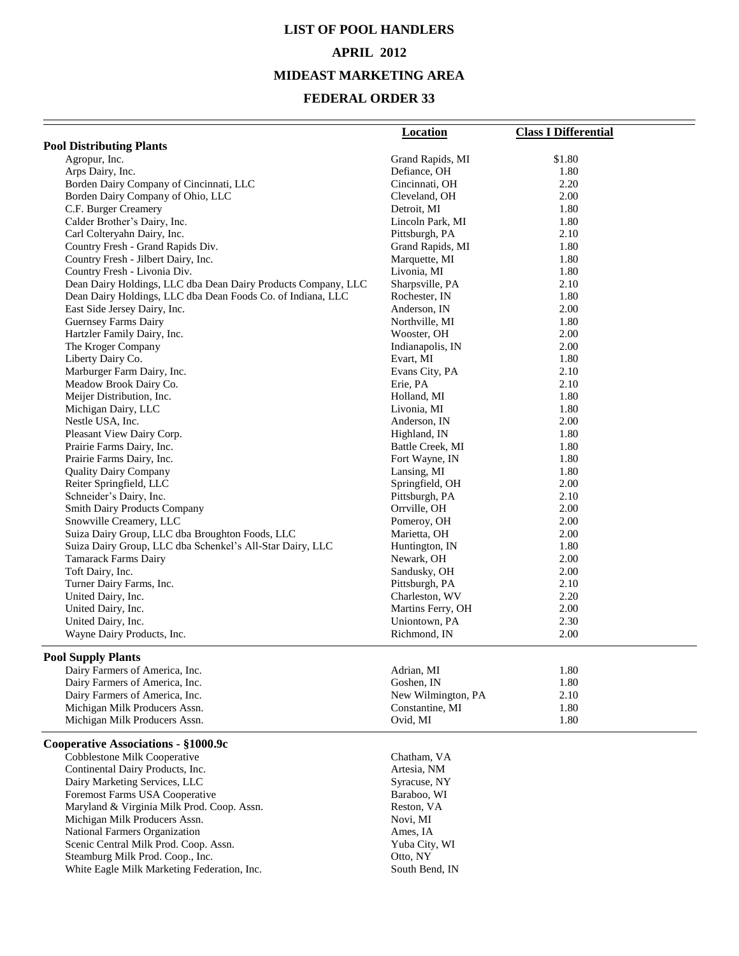## **LIST OF POOL HANDLERS APRIL 2012**

### **MIDEAST MARKETING AREA**

|                                                               | <b>Location</b>               | <b>Class I Differential</b> |
|---------------------------------------------------------------|-------------------------------|-----------------------------|
| <b>Pool Distributing Plants</b>                               |                               |                             |
| Agropur, Inc.                                                 | Grand Rapids, MI              | \$1.80                      |
| Arps Dairy, Inc.                                              | Defiance, OH                  | 1.80                        |
| Borden Dairy Company of Cincinnati, LLC                       | Cincinnati, OH                | 2.20                        |
| Borden Dairy Company of Ohio, LLC                             | Cleveland, OH                 | 2.00                        |
| C.F. Burger Creamery                                          | Detroit, MI                   | 1.80                        |
| Calder Brother's Dairy, Inc.                                  | Lincoln Park, MI              | 1.80                        |
| Carl Colteryahn Dairy, Inc.                                   | Pittsburgh, PA                | 2.10                        |
| Country Fresh - Grand Rapids Div.                             | Grand Rapids, MI              | 1.80                        |
| Country Fresh - Jilbert Dairy, Inc.                           | Marquette, MI                 | 1.80                        |
| Country Fresh - Livonia Div.                                  | Livonia, MI                   | 1.80                        |
| Dean Dairy Holdings, LLC dba Dean Dairy Products Company, LLC | Sharpsville, PA               | 2.10                        |
| Dean Dairy Holdings, LLC dba Dean Foods Co. of Indiana, LLC   | Rochester, IN                 | 1.80                        |
| East Side Jersey Dairy, Inc.                                  | Anderson, IN                  | 2.00                        |
| Guernsey Farms Dairy<br>Hartzler Family Dairy, Inc.           | Northville, MI<br>Wooster, OH | 1.80<br>2.00                |
| The Kroger Company                                            | Indianapolis, IN              | 2.00                        |
| Liberty Dairy Co.                                             | Evart, MI                     | 1.80                        |
| Marburger Farm Dairy, Inc.                                    | Evans City, PA                | 2.10                        |
| Meadow Brook Dairy Co.                                        | Erie, PA                      | 2.10                        |
| Meijer Distribution, Inc.                                     | Holland, MI                   | 1.80                        |
| Michigan Dairy, LLC                                           | Livonia, MI                   | 1.80                        |
| Nestle USA, Inc.                                              | Anderson, IN                  | 2.00                        |
| Pleasant View Dairy Corp.                                     | Highland, IN                  | 1.80                        |
| Prairie Farms Dairy, Inc.                                     | Battle Creek, MI              | 1.80                        |
| Prairie Farms Dairy, Inc.                                     | Fort Wayne, IN                | 1.80                        |
| <b>Quality Dairy Company</b>                                  | Lansing, MI                   | 1.80                        |
| Reiter Springfield, LLC                                       | Springfield, OH               | 2.00                        |
| Schneider's Dairy, Inc.                                       | Pittsburgh, PA                | 2.10                        |
| <b>Smith Dairy Products Company</b>                           | Orrville, OH                  | 2.00                        |
| Snowville Creamery, LLC                                       | Pomeroy, OH                   | 2.00                        |
| Suiza Dairy Group, LLC dba Broughton Foods, LLC               | Marietta, OH                  | 2.00                        |
| Suiza Dairy Group, LLC dba Schenkel's All-Star Dairy, LLC     | Huntington, IN                | 1.80                        |
| <b>Tamarack Farms Dairy</b>                                   | Newark, OH                    | 2.00                        |
| Toft Dairy, Inc.                                              | Sandusky, OH                  | 2.00                        |
| Turner Dairy Farms, Inc.                                      | Pittsburgh, PA                | 2.10                        |
| United Dairy, Inc.                                            | Charleston, WV                | 2.20                        |
| United Dairy, Inc.<br>United Dairy, Inc.                      | Martins Ferry, OH             | 2.00                        |
| Wayne Dairy Products, Inc.                                    | Uniontown, PA<br>Richmond, IN | 2.30<br>2.00                |
|                                                               |                               |                             |
| <b>Pool Supply Plants</b>                                     |                               |                             |
| Dairy Farmers of America, Inc.                                | Adrian, MI                    | 1.80                        |
| Dairy Farmers of America, Inc.                                | Goshen, IN                    | 1.80                        |
| Dairy Farmers of America, Inc.                                | New Wilmington, PA            | 2.10                        |
| Michigan Milk Producers Assn.                                 | Constantine, MI               | 1.80                        |
| Michigan Milk Producers Assn.                                 | Ovid, MI                      | 1.80                        |
| Cooperative Associations - §1000.9c                           |                               |                             |
| Cobblestone Milk Cooperative                                  | Chatham, VA                   |                             |
| Continental Dairy Products, Inc.                              | Artesia, NM                   |                             |
| Dairy Marketing Services, LLC                                 | Syracuse, NY                  |                             |
| Foremost Farms USA Cooperative                                | Baraboo, WI                   |                             |
| Maryland & Virginia Milk Prod. Coop. Assn.                    | Reston, VA                    |                             |
| Michigan Milk Producers Assn.                                 | Novi, MI                      |                             |
| National Farmers Organization                                 | Ames, IA                      |                             |
| Scenic Central Milk Prod. Coop. Assn.                         | Yuba City, WI                 |                             |
| Steamburg Milk Prod. Coop., Inc.                              | Otto, NY                      |                             |
| White Eagle Milk Marketing Federation, Inc.                   | South Bend, IN                |                             |
|                                                               |                               |                             |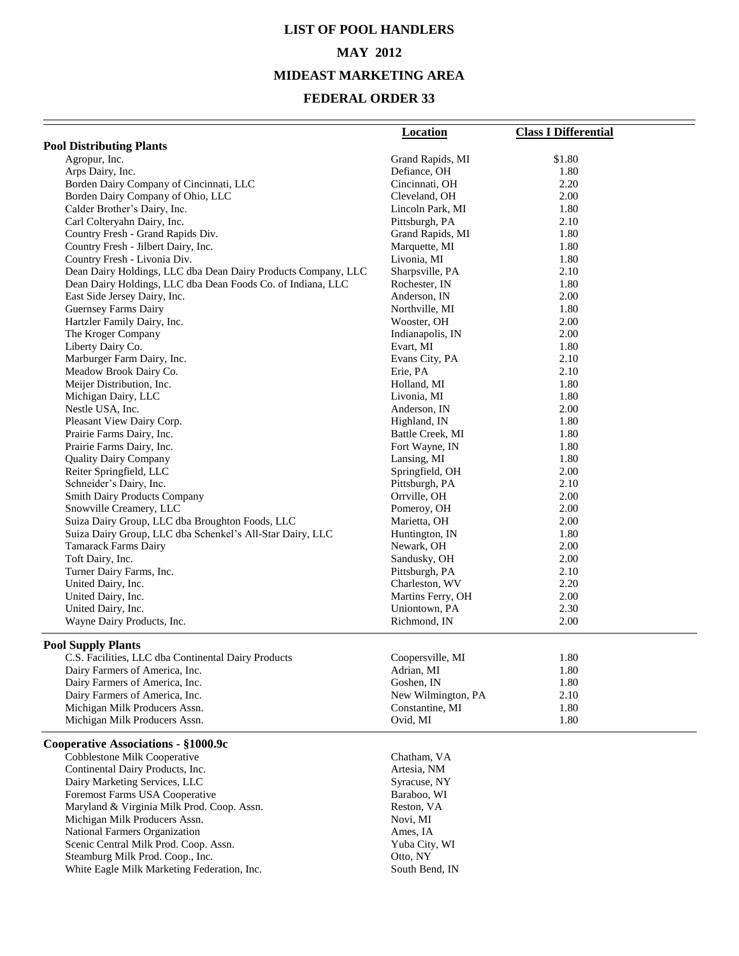## **LIST OF POOL HANDLERS MAY 2012 MIDEAST MARKETING AREA**

|                                                               | <b>Location</b>                     | <b>Class I Differential</b> |
|---------------------------------------------------------------|-------------------------------------|-----------------------------|
| <b>Pool Distributing Plants</b>                               |                                     |                             |
| Agropur, Inc.                                                 | Grand Rapids, MI                    | \$1.80                      |
| Arps Dairy, Inc.                                              | Defiance, OH                        | 1.80                        |
| Borden Dairy Company of Cincinnati, LLC                       | Cincinnati, OH                      | 2.20                        |
| Borden Dairy Company of Ohio, LLC                             | Cleveland, OH                       | 2.00                        |
| Calder Brother's Dairy, Inc.                                  | Lincoln Park, MI                    | 1.80                        |
| Carl Colteryahn Dairy, Inc.                                   | Pittsburgh, PA                      | 2.10                        |
| Country Fresh - Grand Rapids Div.                             | Grand Rapids, MI                    | 1.80                        |
| Country Fresh - Jilbert Dairy, Inc.                           | Marquette, MI                       | 1.80                        |
| Country Fresh - Livonia Div.                                  | Livonia, MI                         | 1.80                        |
| Dean Dairy Holdings, LLC dba Dean Dairy Products Company, LLC | Sharpsville, PA                     | 2.10                        |
| Dean Dairy Holdings, LLC dba Dean Foods Co. of Indiana, LLC   | Rochester, IN                       | 1.80                        |
| East Side Jersey Dairy, Inc.<br><b>Guernsey Farms Dairy</b>   | Anderson, IN<br>Northville, MI      | 2.00<br>1.80                |
| Hartzler Family Dairy, Inc.                                   | Wooster, OH                         | 2.00                        |
| The Kroger Company                                            | Indianapolis, IN                    | 2.00                        |
| Liberty Dairy Co.                                             | Evart, MI                           | 1.80                        |
| Marburger Farm Dairy, Inc.                                    | Evans City, PA                      | 2.10                        |
| Meadow Brook Dairy Co.                                        | Erie, PA                            | 2.10                        |
| Meijer Distribution, Inc.                                     | Holland, MI                         | 1.80                        |
| Michigan Dairy, LLC                                           | Livonia, MI                         | 1.80                        |
| Nestle USA, Inc.                                              | Anderson, IN                        | 2.00                        |
| Pleasant View Dairy Corp.                                     | Highland, IN                        | 1.80                        |
| Prairie Farms Dairy, Inc.                                     | Battle Creek, MI                    | 1.80                        |
| Prairie Farms Dairy, Inc.                                     | Fort Wayne, IN                      | 1.80                        |
| <b>Quality Dairy Company</b>                                  | Lansing, MI                         | 1.80                        |
| Reiter Springfield, LLC                                       | Springfield, OH                     | 2.00                        |
| Schneider's Dairy, Inc.                                       | Pittsburgh, PA                      | 2.10                        |
| Smith Dairy Products Company                                  | Orrville, OH                        | 2.00                        |
| Snowville Creamery, LLC                                       | Pomeroy, OH                         | 2.00                        |
| Suiza Dairy Group, LLC dba Broughton Foods, LLC               | Marietta, OH                        | 2.00                        |
| Suiza Dairy Group, LLC dba Schenkel's All-Star Dairy, LLC     | Huntington, IN                      | 1.80                        |
| Tamarack Farms Dairy                                          | Newark, OH                          | 2.00                        |
| Toft Dairy, Inc.                                              | Sandusky, OH                        | 2.00                        |
| Turner Dairy Farms, Inc.                                      | Pittsburgh, PA                      | 2.10                        |
| United Dairy, Inc.<br>United Dairy, Inc.                      | Charleston, WV<br>Martins Ferry, OH | 2.20<br>2.00                |
| United Dairy, Inc.                                            | Uniontown, PA                       | 2.30                        |
| Wayne Dairy Products, Inc.                                    | Richmond, IN                        | 2.00                        |
|                                                               |                                     |                             |
| <b>Pool Supply Plants</b>                                     |                                     |                             |
| C.S. Facilities, LLC dba Continental Dairy Products           | Coopersville, MI                    | 1.80                        |
| Dairy Farmers of America, Inc.                                | Adrian, MI                          | 1.80                        |
| Dairy Farmers of America, Inc.                                | Goshen, IN                          | 1.80                        |
| Dairy Farmers of America, Inc.                                | New Wilmington, PA                  | 2.10                        |
| Michigan Milk Producers Assn.                                 | Constantine, MI                     | 1.80                        |
| Michigan Milk Producers Assn.                                 | Ovid, MI                            | 1.80                        |
| Cooperative Associations - §1000.9c                           |                                     |                             |
| Cobblestone Milk Cooperative                                  | Chatham, VA                         |                             |
| Continental Dairy Products, Inc.                              | Artesia, NM                         |                             |
| Dairy Marketing Services, LLC                                 | Syracuse, NY                        |                             |
| Foremost Farms USA Cooperative                                | Baraboo, WI                         |                             |
| Maryland & Virginia Milk Prod. Coop. Assn.                    | Reston, VA                          |                             |
| Michigan Milk Producers Assn.                                 | Novi, MI                            |                             |
| National Farmers Organization                                 | Ames, IA                            |                             |
| Scenic Central Milk Prod. Coop. Assn.                         | Yuba City, WI                       |                             |
| Steamburg Milk Prod. Coop., Inc.                              | Otto, NY                            |                             |
| White Eagle Milk Marketing Federation, Inc.                   | South Bend, IN                      |                             |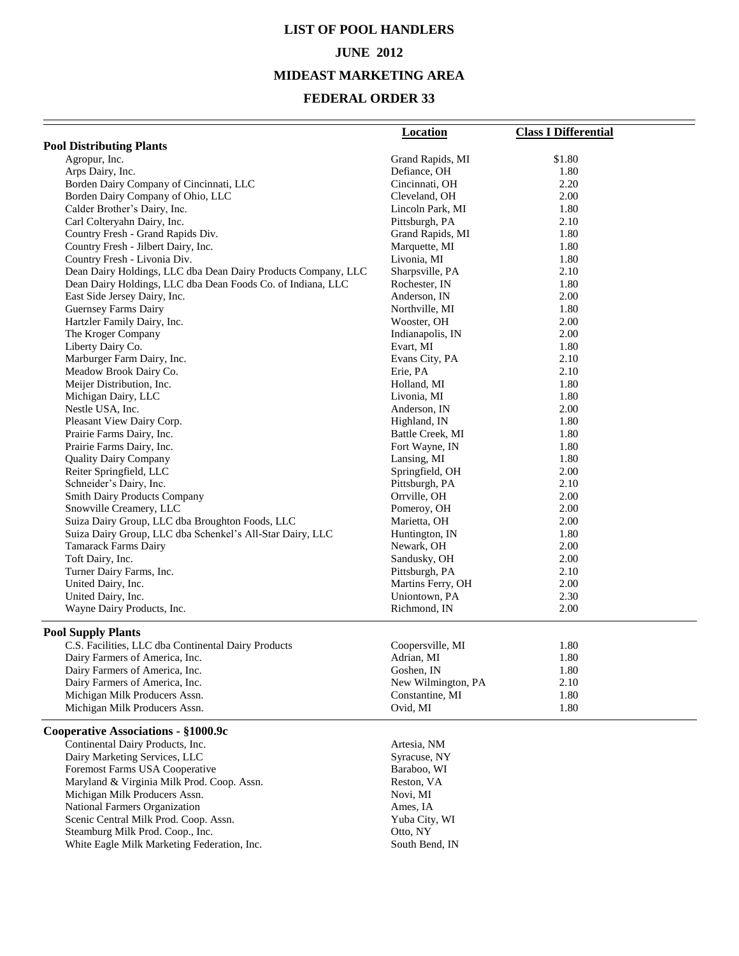## **LIST OF POOL HANDLERS JUNE 2012**

### **MIDEAST MARKETING AREA**

|                                                               | <b>Location</b>    | <b>Class I Differential</b> |
|---------------------------------------------------------------|--------------------|-----------------------------|
| <b>Pool Distributing Plants</b>                               |                    |                             |
| Agropur, Inc.                                                 | Grand Rapids, MI   | \$1.80                      |
| Arps Dairy, Inc.                                              | Defiance, OH       | 1.80                        |
| Borden Dairy Company of Cincinnati, LLC                       | Cincinnati, OH     | 2.20                        |
| Borden Dairy Company of Ohio, LLC                             | Cleveland, OH      | 2.00                        |
| Calder Brother's Dairy, Inc.                                  | Lincoln Park, MI   | 1.80                        |
| Carl Colteryahn Dairy, Inc.                                   | Pittsburgh, PA     | 2.10                        |
| Country Fresh - Grand Rapids Div.                             | Grand Rapids, MI   | 1.80                        |
| Country Fresh - Jilbert Dairy, Inc.                           | Marquette, MI      | 1.80                        |
| Country Fresh - Livonia Div.                                  | Livonia, MI        | 1.80                        |
| Dean Dairy Holdings, LLC dba Dean Dairy Products Company, LLC | Sharpsville, PA    | 2.10                        |
| Dean Dairy Holdings, LLC dba Dean Foods Co. of Indiana, LLC   | Rochester, IN      | 1.80                        |
| East Side Jersey Dairy, Inc.                                  | Anderson, IN       | 2.00                        |
| Guernsey Farms Dairy                                          | Northville, MI     | 1.80                        |
| Hartzler Family Dairy, Inc.                                   | Wooster, OH        | 2.00                        |
| The Kroger Company                                            | Indianapolis, IN   | 2.00                        |
| Liberty Dairy Co.                                             | Evart, MI          | 1.80                        |
| Marburger Farm Dairy, Inc.                                    | Evans City, PA     | 2.10                        |
| Meadow Brook Dairy Co.                                        | Erie, PA           | 2.10                        |
| Meijer Distribution, Inc.                                     | Holland, MI        | 1.80                        |
| Michigan Dairy, LLC                                           | Livonia, MI        | 1.80                        |
| Nestle USA, Inc.                                              | Anderson, IN       | 2.00                        |
| Pleasant View Dairy Corp.                                     | Highland, IN       | 1.80                        |
| Prairie Farms Dairy, Inc.                                     | Battle Creek, MI   | 1.80                        |
| Prairie Farms Dairy, Inc.                                     | Fort Wayne, IN     | 1.80                        |
| <b>Quality Dairy Company</b>                                  | Lansing, MI        | 1.80                        |
| Reiter Springfield, LLC                                       | Springfield, OH    | 2.00                        |
| Schneider's Dairy, Inc.                                       | Pittsburgh, PA     | 2.10                        |
| Smith Dairy Products Company                                  | Orrville, OH       | 2.00                        |
| Snowville Creamery, LLC                                       | Pomeroy, OH        | 2.00                        |
| Suiza Dairy Group, LLC dba Broughton Foods, LLC               | Marietta, OH       | 2.00                        |
| Suiza Dairy Group, LLC dba Schenkel's All-Star Dairy, LLC     | Huntington, IN     | 1.80                        |
| <b>Tamarack Farms Dairy</b>                                   | Newark, OH         | 2.00                        |
| Toft Dairy, Inc.                                              | Sandusky, OH       | 2.00                        |
| Turner Dairy Farms, Inc.                                      | Pittsburgh, PA     | 2.10                        |
| United Dairy, Inc.                                            | Martins Ferry, OH  | 2.00                        |
| United Dairy, Inc.                                            | Uniontown, PA      | 2.30                        |
| Wayne Dairy Products, Inc.                                    | Richmond, IN       | 2.00                        |
|                                                               |                    |                             |
| <b>Pool Supply Plants</b>                                     |                    |                             |
| C.S. Facilities, LLC dba Continental Dairy Products           | Coopersville, MI   | 1.80                        |
| Dairy Farmers of America, Inc.                                | Adrian, MI         | 1.80                        |
| Dairy Farmers of America, Inc.                                | Goshen, IN         | 1.80                        |
| Dairy Farmers of America, Inc.                                | New Wilmington, PA | 2.10                        |
| Michigan Milk Producers Assn.                                 | Constantine, MI    | 1.80                        |
| Michigan Milk Producers Assn.                                 | Ovid, MI           | 1.80                        |
| Cooperative Associations - §1000.9c                           |                    |                             |
| Continental Dairy Products, Inc.                              | Artesia, NM        |                             |
| Dairy Marketing Services, LLC                                 | Syracuse, NY       |                             |
| Foremost Farms USA Cooperative                                | Baraboo, WI        |                             |
| Maryland & Virginia Milk Prod. Coop. Assn.                    | Reston, VA         |                             |
| Michigan Milk Producers Assn.                                 | Novi, MI           |                             |
| National Farmers Organization                                 | Ames, IA           |                             |
| Scenic Central Milk Prod. Coop. Assn.                         | Yuba City, WI      |                             |
| Steamburg Milk Prod. Coop., Inc.                              | Otto, NY           |                             |
| White Eagle Milk Marketing Federation, Inc.                   | South Bend, IN     |                             |
|                                                               |                    |                             |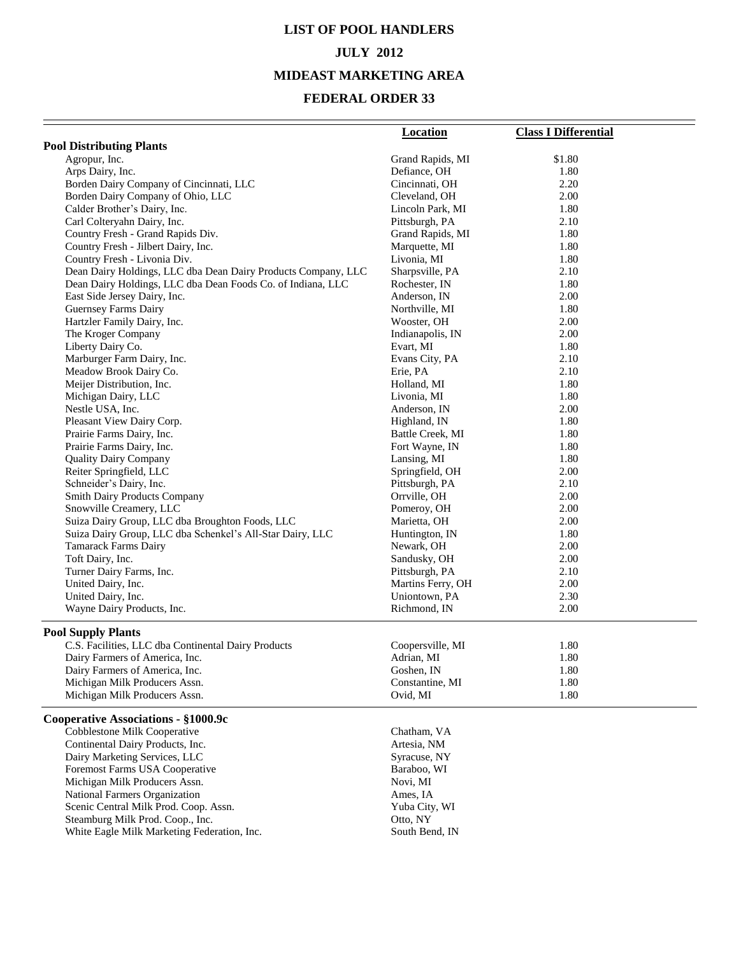## **LIST OF POOL HANDLERS JULY 2012 MIDEAST MARKETING AREA**

|                                                               | <b>Location</b>   | <b>Class I Differential</b> |
|---------------------------------------------------------------|-------------------|-----------------------------|
| <b>Pool Distributing Plants</b>                               |                   |                             |
| Agropur, Inc.                                                 | Grand Rapids, MI  | \$1.80                      |
| Arps Dairy, Inc.                                              | Defiance, OH      | 1.80                        |
| Borden Dairy Company of Cincinnati, LLC                       | Cincinnati, OH    | 2.20                        |
| Borden Dairy Company of Ohio, LLC                             | Cleveland, OH     | 2.00                        |
| Calder Brother's Dairy, Inc.                                  | Lincoln Park, MI  | 1.80                        |
| Carl Colteryahn Dairy, Inc.                                   | Pittsburgh, PA    | 2.10                        |
| Country Fresh - Grand Rapids Div.                             | Grand Rapids, MI  | 1.80                        |
| Country Fresh - Jilbert Dairy, Inc.                           | Marquette, MI     | 1.80                        |
| Country Fresh - Livonia Div.                                  | Livonia, MI       | 1.80                        |
| Dean Dairy Holdings, LLC dba Dean Dairy Products Company, LLC | Sharpsville, PA   | 2.10                        |
| Dean Dairy Holdings, LLC dba Dean Foods Co. of Indiana, LLC   | Rochester, IN     | 1.80                        |
| East Side Jersey Dairy, Inc.                                  | Anderson, IN      | 2.00                        |
| Guernsey Farms Dairy                                          | Northville, MI    | 1.80                        |
| Hartzler Family Dairy, Inc.                                   | Wooster, OH       | 2.00                        |
| The Kroger Company                                            | Indianapolis, IN  | 2.00                        |
| Liberty Dairy Co.                                             | Evart, MI         | 1.80                        |
| Marburger Farm Dairy, Inc.                                    | Evans City, PA    | 2.10                        |
| Meadow Brook Dairy Co.                                        | Erie, PA          | 2.10                        |
| Meijer Distribution, Inc.                                     | Holland, MI       | 1.80                        |
| Michigan Dairy, LLC                                           | Livonia, MI       | 1.80                        |
| Nestle USA, Inc.                                              | Anderson, IN      | 2.00                        |
| Pleasant View Dairy Corp.                                     | Highland, IN      | 1.80                        |
| Prairie Farms Dairy, Inc.                                     | Battle Creek, MI  | 1.80                        |
| Prairie Farms Dairy, Inc.                                     | Fort Wayne, IN    | 1.80                        |
| <b>Quality Dairy Company</b>                                  | Lansing, MI       | 1.80                        |
| Reiter Springfield, LLC                                       | Springfield, OH   | 2.00                        |
| Schneider's Dairy, Inc.                                       | Pittsburgh, PA    | 2.10                        |
| <b>Smith Dairy Products Company</b>                           | Orrville, OH      | 2.00                        |
| Snowville Creamery, LLC                                       | Pomeroy, OH       | 2.00                        |
| Suiza Dairy Group, LLC dba Broughton Foods, LLC               | Marietta, OH      | 2.00                        |
| Suiza Dairy Group, LLC dba Schenkel's All-Star Dairy, LLC     | Huntington, IN    | 1.80                        |
| Tamarack Farms Dairy                                          | Newark, OH        | 2.00                        |
| Toft Dairy, Inc.                                              | Sandusky, OH      | 2.00                        |
| Turner Dairy Farms, Inc.                                      | Pittsburgh, PA    | 2.10                        |
| United Dairy, Inc.                                            | Martins Ferry, OH | 2.00                        |
| United Dairy, Inc.                                            | Uniontown, PA     | 2.30                        |
| Wayne Dairy Products, Inc.                                    | Richmond, IN      | 2.00                        |
| <b>Pool Supply Plants</b>                                     |                   |                             |
| C.S. Facilities, LLC dba Continental Dairy Products           | Coopersville, MI  | 1.80                        |
| Dairy Farmers of America, Inc.                                | Adrian, MI        | 1.80                        |
| Dairy Farmers of America, Inc.                                | Goshen, IN        | 1.80                        |
| Michigan Milk Producers Assn.                                 | Constantine, MI   | 1.80                        |
| Michigan Milk Producers Assn.                                 | Ovid, MI          | 1.80                        |
| Cooperative Associations - §1000.9c                           |                   |                             |
| Cobblestone Milk Cooperative                                  | Chatham, VA       |                             |
| Continental Dairy Products, Inc.                              | Artesia, NM       |                             |
| Dairy Marketing Services, LLC                                 | Syracuse, NY      |                             |
| Foremost Farms USA Cooperative                                | Baraboo, WI       |                             |
| Michigan Milk Producers Assn.                                 | Novi, MI          |                             |
| National Farmers Organization                                 | Ames, IA          |                             |
| Scenic Central Milk Prod. Coop. Assn.                         | Yuba City, WI     |                             |
| Steamburg Milk Prod. Coop., Inc.                              | Otto, NY          |                             |
| White Eagle Milk Marketing Federation, Inc.                   | South Bend, IN    |                             |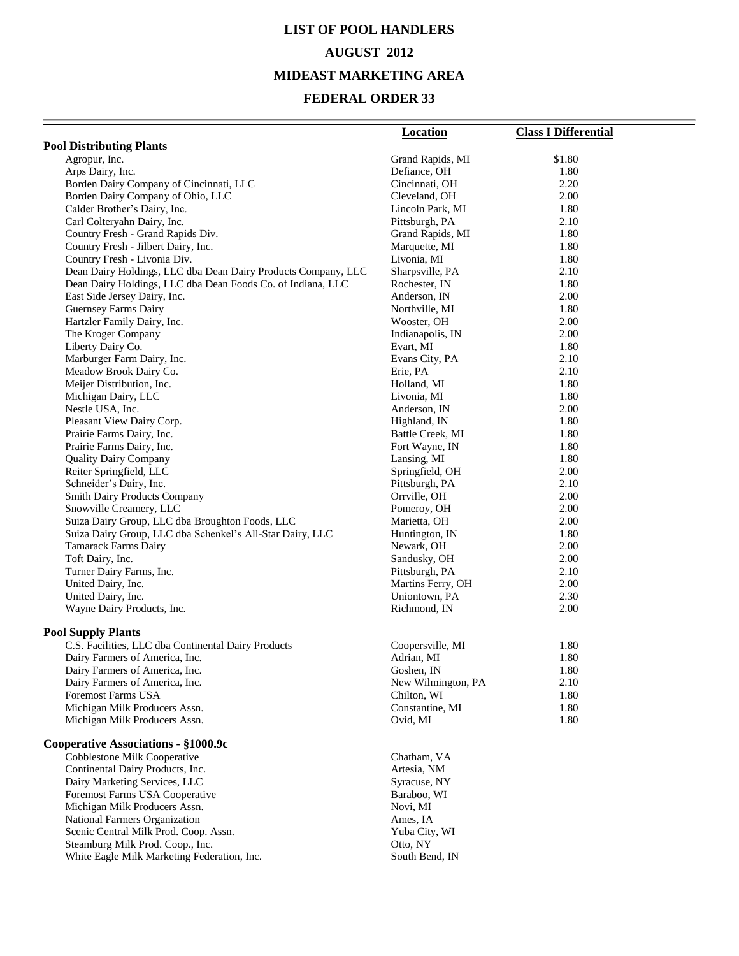## **LIST OF POOL HANDLERS AUGUST 2012 MIDEAST MARKETING AREA**

|                                                                                                              | <b>Location</b>              | <b>Class I Differential</b> |
|--------------------------------------------------------------------------------------------------------------|------------------------------|-----------------------------|
| <b>Pool Distributing Plants</b>                                                                              |                              |                             |
| Agropur, Inc.                                                                                                | Grand Rapids, MI             | \$1.80                      |
| Arps Dairy, Inc.                                                                                             | Defiance, OH                 | 1.80                        |
| Borden Dairy Company of Cincinnati, LLC                                                                      | Cincinnati, OH               | 2.20                        |
| Borden Dairy Company of Ohio, LLC                                                                            | Cleveland, OH                | 2.00                        |
| Calder Brother's Dairy, Inc.                                                                                 | Lincoln Park, MI             | 1.80                        |
| Carl Colteryahn Dairy, Inc.                                                                                  | Pittsburgh, PA               | 2.10                        |
| Country Fresh - Grand Rapids Div.                                                                            | Grand Rapids, MI             | 1.80                        |
| Country Fresh - Jilbert Dairy, Inc.                                                                          | Marquette, MI                | 1.80                        |
| Country Fresh - Livonia Div.                                                                                 | Livonia, MI                  | 1.80                        |
| Dean Dairy Holdings, LLC dba Dean Dairy Products Company, LLC                                                | Sharpsville, PA              | 2.10                        |
| Dean Dairy Holdings, LLC dba Dean Foods Co. of Indiana, LLC                                                  | Rochester, IN                | 1.80                        |
| East Side Jersey Dairy, Inc.                                                                                 | Anderson, IN                 | 2.00                        |
| Guernsey Farms Dairy                                                                                         | Northville, MI               | 1.80                        |
| Hartzler Family Dairy, Inc.                                                                                  | Wooster, OH                  | 2.00                        |
| The Kroger Company                                                                                           | Indianapolis, IN             | 2.00                        |
| Liberty Dairy Co.                                                                                            | Evart, MI                    | 1.80                        |
| Marburger Farm Dairy, Inc.                                                                                   | Evans City, PA               | 2.10                        |
| Meadow Brook Dairy Co.                                                                                       | Erie, PA                     | 2.10                        |
| Meijer Distribution, Inc.                                                                                    | Holland, MI                  | 1.80                        |
| Michigan Dairy, LLC                                                                                          | Livonia, MI                  | 1.80                        |
| Nestle USA, Inc.                                                                                             | Anderson, IN                 | 2.00                        |
| Pleasant View Dairy Corp.                                                                                    | Highland, IN                 | 1.80                        |
| Prairie Farms Dairy, Inc.                                                                                    | Battle Creek, MI             | 1.80                        |
| Prairie Farms Dairy, Inc.                                                                                    | Fort Wayne, IN               | 1.80                        |
| <b>Quality Dairy Company</b>                                                                                 | Lansing, MI                  | 1.80                        |
| Reiter Springfield, LLC                                                                                      | Springfield, OH              | 2.00                        |
| Schneider's Dairy, Inc.                                                                                      | Pittsburgh, PA               | 2.10                        |
| <b>Smith Dairy Products Company</b>                                                                          | Orrville, OH                 | 2.00                        |
| Snowville Creamery, LLC                                                                                      | Pomeroy, OH                  | 2.00<br>2.00                |
| Suiza Dairy Group, LLC dba Broughton Foods, LLC<br>Suiza Dairy Group, LLC dba Schenkel's All-Star Dairy, LLC | Marietta, OH                 | 1.80                        |
| Tamarack Farms Dairy                                                                                         | Huntington, IN<br>Newark, OH | 2.00                        |
| Toft Dairy, Inc.                                                                                             | Sandusky, OH                 | 2.00                        |
| Turner Dairy Farms, Inc.                                                                                     | Pittsburgh, PA               | 2.10                        |
| United Dairy, Inc.                                                                                           | Martins Ferry, OH            | 2.00                        |
| United Dairy, Inc.                                                                                           | Uniontown, PA                | 2.30                        |
| Wayne Dairy Products, Inc.                                                                                   | Richmond, IN                 | 2.00                        |
|                                                                                                              |                              |                             |
| <b>Pool Supply Plants</b>                                                                                    |                              |                             |
| C.S. Facilities, LLC dba Continental Dairy Products                                                          | Coopersville, MI             | 1.80                        |
| Dairy Farmers of America, Inc.                                                                               | Adrian, MI                   | 1.80                        |
| Dairy Farmers of America, Inc.                                                                               | Goshen, IN                   | 1.80                        |
| Dairy Farmers of America, Inc.                                                                               | New Wilmington, PA           | 2.10                        |
| Foremost Farms USA                                                                                           | Chilton, WI                  | 1.80                        |
| Michigan Milk Producers Assn.                                                                                | Constantine, MI              | 1.80                        |
| Michigan Milk Producers Assn.                                                                                | Ovid, MI                     | 1.80                        |
|                                                                                                              |                              |                             |
| Cooperative Associations - §1000.9c<br>Cobblestone Milk Cooperative                                          | Chatham, VA                  |                             |
| Continental Dairy Products, Inc.                                                                             | Artesia, NM                  |                             |
| Dairy Marketing Services, LLC                                                                                | Syracuse, NY                 |                             |
| Foremost Farms USA Cooperative                                                                               | Baraboo, WI                  |                             |
| Michigan Milk Producers Assn.                                                                                | Novi, MI                     |                             |
| National Farmers Organization                                                                                | Ames, IA                     |                             |
| Scenic Central Milk Prod. Coop. Assn.                                                                        | Yuba City, WI                |                             |
| Steamburg Milk Prod. Coop., Inc.                                                                             | Otto, NY                     |                             |
| White Eagle Milk Marketing Federation, Inc.                                                                  | South Bend, IN               |                             |
|                                                                                                              |                              |                             |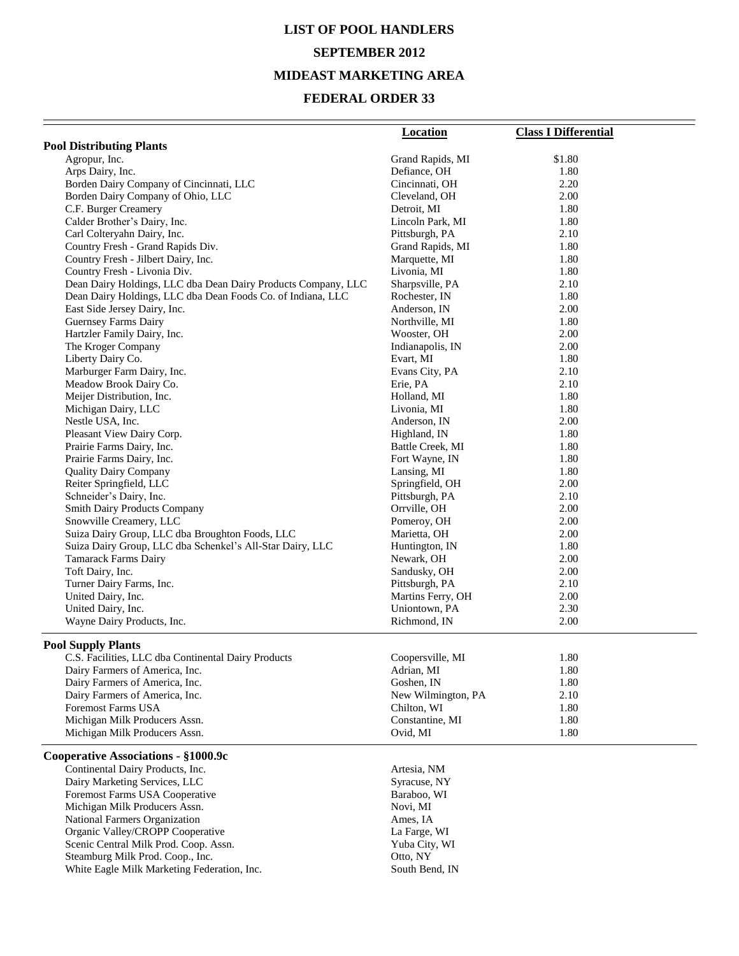# **LIST OF POOL HANDLERS SEPTEMBER 2012 MIDEAST MARKETING AREA**

### **FEDERAL ORDER 33**

|                                                                 | <b>Location</b>         | <b>Class I Differential</b> |
|-----------------------------------------------------------------|-------------------------|-----------------------------|
| <b>Pool Distributing Plants</b>                                 |                         |                             |
| Agropur, Inc.                                                   | Grand Rapids, MI        | \$1.80                      |
| Arps Dairy, Inc.                                                | Defiance, OH            | 1.80                        |
| Borden Dairy Company of Cincinnati, LLC                         | Cincinnati, OH          | 2.20                        |
| Borden Dairy Company of Ohio, LLC                               | Cleveland, OH           | 2.00                        |
| C.F. Burger Creamery                                            | Detroit, MI             | 1.80                        |
| Calder Brother's Dairy, Inc.                                    | Lincoln Park, MI        | 1.80                        |
| Carl Colteryahn Dairy, Inc.                                     | Pittsburgh, PA          | 2.10                        |
| Country Fresh - Grand Rapids Div.                               | Grand Rapids, MI        | 1.80                        |
| Country Fresh - Jilbert Dairy, Inc.                             | Marquette, MI           | 1.80                        |
| Country Fresh - Livonia Div.                                    | Livonia, MI             | 1.80                        |
| Dean Dairy Holdings, LLC dba Dean Dairy Products Company, LLC   | Sharpsville, PA         | 2.10                        |
| Dean Dairy Holdings, LLC dba Dean Foods Co. of Indiana, LLC     | Rochester, IN           | 1.80                        |
| East Side Jersey Dairy, Inc.                                    | Anderson, IN            | 2.00                        |
| Guernsey Farms Dairy                                            | Northville, MI          | 1.80                        |
| Hartzler Family Dairy, Inc.                                     | Wooster, OH             | 2.00                        |
| The Kroger Company                                              | Indianapolis, IN        | 2.00                        |
| Liberty Dairy Co.                                               | Evart, MI               | 1.80                        |
| Marburger Farm Dairy, Inc.                                      | Evans City, PA          | 2.10                        |
| Meadow Brook Dairy Co.                                          | Erie, PA                | 2.10                        |
| Meijer Distribution, Inc.                                       | Holland, MI             | 1.80                        |
| Michigan Dairy, LLC                                             | Livonia, MI             | 1.80                        |
| Nestle USA, Inc.                                                | Anderson, IN            | 2.00                        |
| Pleasant View Dairy Corp.                                       | Highland, IN            | 1.80                        |
| Prairie Farms Dairy, Inc.                                       | Battle Creek, MI        | 1.80                        |
| Prairie Farms Dairy, Inc.                                       | Fort Wayne, IN          | 1.80                        |
| <b>Quality Dairy Company</b>                                    | Lansing, MI             | 1.80                        |
| Reiter Springfield, LLC                                         | Springfield, OH         | 2.00                        |
| Schneider's Dairy, Inc.                                         | Pittsburgh, PA          | 2.10                        |
| <b>Smith Dairy Products Company</b>                             | Orrville, OH            | 2.00                        |
| Snowville Creamery, LLC                                         | Pomeroy, OH             | 2.00                        |
| Suiza Dairy Group, LLC dba Broughton Foods, LLC                 | Marietta, OH            | 2.00                        |
| Suiza Dairy Group, LLC dba Schenkel's All-Star Dairy, LLC       | Huntington, IN          | 1.80                        |
| <b>Tamarack Farms Dairy</b>                                     | Newark, OH              | 2.00                        |
| Toft Dairy, Inc.                                                | Sandusky, OH            | 2.00                        |
| Turner Dairy Farms, Inc.                                        | Pittsburgh, PA          | 2.10                        |
| United Dairy, Inc.                                              | Martins Ferry, OH       | 2.00                        |
| United Dairy, Inc.                                              | Uniontown, PA           | 2.30                        |
| Wayne Dairy Products, Inc.                                      | Richmond, IN            | 2.00                        |
| <b>Pool Supply Plants</b>                                       |                         |                             |
| C.S. Facilities, LLC dba Continental Dairy Products             | Coopersville, MI        | 1.80                        |
| Dairy Farmers of America, Inc.                                  | Adrian, MI              | 1.80                        |
| Dairy Farmers of America, Inc.                                  | Goshen, IN              | 1.80                        |
| Dairy Farmers of America, Inc.                                  | New Wilmington, PA      | 2.10                        |
| <b>Foremost Farms USA</b>                                       | Chilton, WI             | 1.80                        |
| Michigan Milk Producers Assn.                                   | Constantine, MI         | 1.80                        |
| Michigan Milk Producers Assn.                                   | Ovid, MI                | 1.80                        |
| Cooperative Associations - §1000.9c                             |                         |                             |
|                                                                 |                         |                             |
| Continental Dairy Products, Inc.                                | Artesia, NM             |                             |
| Dairy Marketing Services, LLC                                   | Syracuse, NY            |                             |
| Foremost Farms USA Cooperative<br>Michigan Milk Producers Assn. | Baraboo, WI<br>Novi, MI |                             |
| National Farmers Organization                                   | Ames, IA                |                             |
| Organic Valley/CROPP Cooperative                                | La Farge, WI            |                             |
|                                                                 |                         |                             |

Steamburg Milk Prod. Coop., Inc. 6. The Coop of the Coop of Coop of Coop of Coop of Coop of Coop of Coop of Co

White Eagle Milk Marketing Federation, Inc. South Bend, IN

Scenic Central Milk Prod. Coop. Assn. Yuba City, WI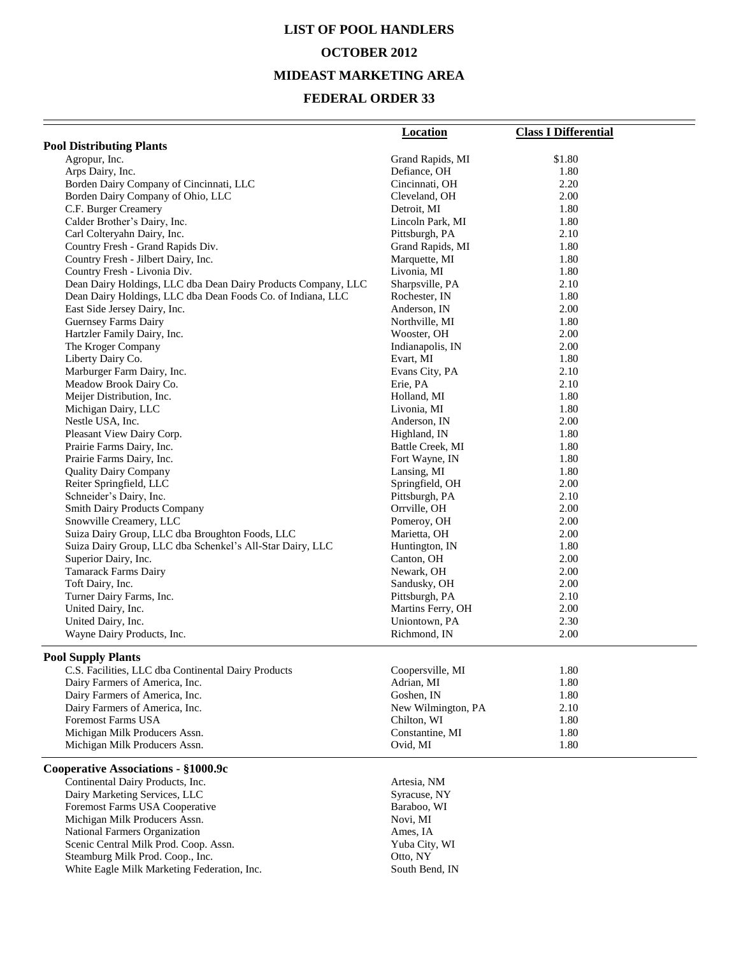## **LIST OF POOL HANDLERS OCTOBER 2012 MIDEAST MARKETING AREA**

### **FEDERAL ORDER 33**

|                                                               | <b>Location</b>    | <b>Class I Differential</b> |
|---------------------------------------------------------------|--------------------|-----------------------------|
| <b>Pool Distributing Plants</b>                               |                    |                             |
| Agropur, Inc.                                                 | Grand Rapids, MI   | \$1.80                      |
| Arps Dairy, Inc.                                              | Defiance, OH       | 1.80                        |
| Borden Dairy Company of Cincinnati, LLC                       | Cincinnati, OH     | 2.20                        |
| Borden Dairy Company of Ohio, LLC                             | Cleveland, OH      | 2.00                        |
| C.F. Burger Creamery                                          | Detroit, MI        | 1.80                        |
| Calder Brother's Dairy, Inc.                                  | Lincoln Park, MI   | 1.80                        |
| Carl Colteryahn Dairy, Inc.                                   | Pittsburgh, PA     | 2.10                        |
| Country Fresh - Grand Rapids Div.                             | Grand Rapids, MI   | 1.80                        |
| Country Fresh - Jilbert Dairy, Inc.                           | Marquette, MI      | 1.80                        |
| Country Fresh - Livonia Div.                                  | Livonia, MI        | 1.80                        |
| Dean Dairy Holdings, LLC dba Dean Dairy Products Company, LLC | Sharpsville, PA    | 2.10                        |
| Dean Dairy Holdings, LLC dba Dean Foods Co. of Indiana, LLC   | Rochester, IN      | 1.80                        |
| East Side Jersey Dairy, Inc.                                  | Anderson, IN       | 2.00                        |
| <b>Guernsey Farms Dairy</b>                                   | Northville, MI     | 1.80                        |
| Hartzler Family Dairy, Inc.                                   | Wooster, OH        | 2.00                        |
| The Kroger Company                                            | Indianapolis, IN   | 2.00                        |
| Liberty Dairy Co.                                             | Evart, MI          | 1.80                        |
| Marburger Farm Dairy, Inc.                                    | Evans City, PA     | 2.10                        |
| Meadow Brook Dairy Co.                                        | Erie, PA           | 2.10                        |
| Meijer Distribution, Inc.                                     | Holland, MI        | 1.80                        |
| Michigan Dairy, LLC                                           | Livonia, MI        | 1.80                        |
| Nestle USA, Inc.                                              | Anderson, IN       | 2.00                        |
| Pleasant View Dairy Corp.                                     | Highland, IN       | 1.80                        |
| Prairie Farms Dairy, Inc.                                     | Battle Creek, MI   | 1.80                        |
| Prairie Farms Dairy, Inc.                                     | Fort Wayne, IN     | 1.80                        |
| <b>Quality Dairy Company</b>                                  | Lansing, MI        | 1.80                        |
| Reiter Springfield, LLC                                       | Springfield, OH    | 2.00                        |
| Schneider's Dairy, Inc.                                       | Pittsburgh, PA     | 2.10                        |
| <b>Smith Dairy Products Company</b>                           | Orrville, OH       | 2.00                        |
| Snowville Creamery, LLC                                       | Pomeroy, OH        | 2.00                        |
| Suiza Dairy Group, LLC dba Broughton Foods, LLC               | Marietta, OH       | 2.00                        |
| Suiza Dairy Group, LLC dba Schenkel's All-Star Dairy, LLC     | Huntington, IN     | 1.80                        |
| Superior Dairy, Inc.                                          | Canton, OH         | 2.00                        |
| Tamarack Farms Dairy                                          | Newark, OH         | 2.00                        |
| Toft Dairy, Inc.                                              | Sandusky, OH       | 2.00                        |
| Turner Dairy Farms, Inc.                                      | Pittsburgh, PA     | 2.10                        |
| United Dairy, Inc.                                            | Martins Ferry, OH  | 2.00                        |
| United Dairy, Inc.                                            | Uniontown, PA      | 2.30                        |
| Wayne Dairy Products, Inc.                                    | Richmond, IN       | 2.00                        |
| <b>Pool Supply Plants</b>                                     |                    |                             |
| C.S. Facilities, LLC dba Continental Dairy Products           | Coopersville, MI   | 1.80                        |
| Dairy Farmers of America, Inc.                                | Adrian, MI         | 1.80                        |
| Dairy Farmers of America, Inc.                                | Goshen, IN         | 1.80                        |
| Dairy Farmers of America, Inc.                                | New Wilmington, PA | 2.10                        |
| Foremost Farms USA                                            | Chilton, WI        | 1.80                        |
| Michigan Milk Producers Assn.                                 | Constantine, MI    | 1.80                        |
| Michigan Milk Producers Assn.                                 | Ovid, MI           | 1.80                        |
| Cooperative Associations - §1000.9c                           |                    |                             |
| Continental Dairy Products, Inc.                              | Artesia, NM        |                             |
| Dairy Marketing Services, LLC                                 | Syracuse, NY       |                             |
| Foremost Farms USA Cooperative                                | Baraboo, WI        |                             |
| Michigan Milk Producers Assn.                                 | Novi, MI           |                             |
| National Farmers Organization                                 | Ames, IA           |                             |
| Scenic Central Milk Prod. Coop. Assn.                         | Yuba City, WI      |                             |
| Steamburg Milk Prod. Coop., Inc.                              | Otto, NY           |                             |
|                                                               |                    |                             |

White Eagle Milk Marketing Federation, Inc. South Bend, IN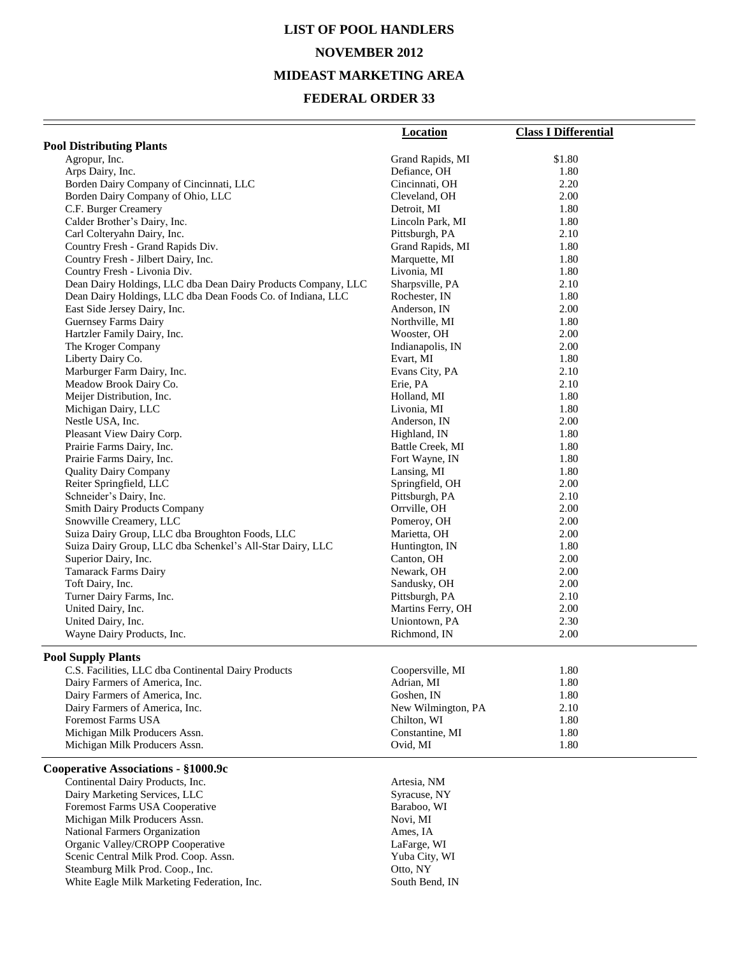# **LIST OF POOL HANDLERS NOVEMBER 2012 MIDEAST MARKETING AREA**

|                                                               | <b>Location</b>    | <b>Class I Differential</b> |
|---------------------------------------------------------------|--------------------|-----------------------------|
| <b>Pool Distributing Plants</b>                               |                    |                             |
| Agropur, Inc.                                                 | Grand Rapids, MI   | \$1.80                      |
| Arps Dairy, Inc.                                              | Defiance, OH       | 1.80                        |
| Borden Dairy Company of Cincinnati, LLC                       | Cincinnati, OH     | 2.20                        |
| Borden Dairy Company of Ohio, LLC                             | Cleveland, OH      | 2.00                        |
| C.F. Burger Creamery                                          | Detroit, MI        | 1.80                        |
| Calder Brother's Dairy, Inc.                                  | Lincoln Park, MI   | 1.80                        |
| Carl Colteryahn Dairy, Inc.                                   | Pittsburgh, PA     | 2.10                        |
| Country Fresh - Grand Rapids Div.                             | Grand Rapids, MI   | 1.80                        |
| Country Fresh - Jilbert Dairy, Inc.                           | Marquette, MI      | 1.80                        |
| Country Fresh - Livonia Div.                                  | Livonia, MI        | 1.80                        |
| Dean Dairy Holdings, LLC dba Dean Dairy Products Company, LLC | Sharpsville, PA    | 2.10                        |
| Dean Dairy Holdings, LLC dba Dean Foods Co. of Indiana, LLC   | Rochester, IN      | 1.80                        |
| East Side Jersey Dairy, Inc.                                  | Anderson, IN       | 2.00                        |
| <b>Guernsey Farms Dairy</b>                                   | Northville, MI     | 1.80                        |
| Hartzler Family Dairy, Inc.                                   | Wooster, OH        | 2.00                        |
| The Kroger Company                                            | Indianapolis, IN   | 2.00                        |
| Liberty Dairy Co.                                             | Evart, MI          | 1.80                        |
| Marburger Farm Dairy, Inc.                                    | Evans City, PA     | 2.10                        |
| Meadow Brook Dairy Co.                                        | Erie, PA           | 2.10                        |
| Meijer Distribution, Inc.                                     | Holland, MI        | 1.80                        |
| Michigan Dairy, LLC                                           | Livonia, MI        | 1.80                        |
| Nestle USA, Inc.                                              | Anderson, IN       | 2.00                        |
| Pleasant View Dairy Corp.                                     | Highland, IN       | 1.80                        |
| Prairie Farms Dairy, Inc.                                     | Battle Creek, MI   | 1.80                        |
| Prairie Farms Dairy, Inc.                                     | Fort Wayne, IN     | 1.80                        |
| <b>Quality Dairy Company</b>                                  | Lansing, MI        | 1.80                        |
| Reiter Springfield, LLC                                       | Springfield, OH    | 2.00                        |
| Schneider's Dairy, Inc.                                       | Pittsburgh, PA     | 2.10                        |
| <b>Smith Dairy Products Company</b>                           | Orrville, OH       | 2.00                        |
| Snowville Creamery, LLC                                       | Pomeroy, OH        | 2.00                        |
| Suiza Dairy Group, LLC dba Broughton Foods, LLC               | Marietta, OH       | 2.00                        |
| Suiza Dairy Group, LLC dba Schenkel's All-Star Dairy, LLC     | Huntington, IN     | 1.80                        |
| Superior Dairy, Inc.                                          | Canton, OH         | 2.00                        |
| Tamarack Farms Dairy                                          | Newark, OH         | 2.00                        |
| Toft Dairy, Inc.                                              | Sandusky, OH       | 2.00                        |
| Turner Dairy Farms, Inc.                                      | Pittsburgh, PA     | 2.10                        |
| United Dairy, Inc.                                            | Martins Ferry, OH  | 2.00                        |
| United Dairy, Inc.                                            | Uniontown, PA      | 2.30                        |
| Wayne Dairy Products, Inc.                                    | Richmond, IN       | 2.00                        |
| <b>Pool Supply Plants</b>                                     |                    |                             |
| C.S. Facilities, LLC dba Continental Dairy Products           | Coopersville, MI   | 1.80                        |
| Dairy Farmers of America, Inc.                                | Adrian, MI         | 1.80                        |
| Dairy Farmers of America, Inc.                                | Goshen, IN         | 1.80                        |
| Dairy Farmers of America, Inc.                                | New Wilmington, PA | 2.10                        |
| Foremost Farms USA                                            | Chilton, WI        | 1.80                        |
| Michigan Milk Producers Assn.                                 | Constantine, MI    | 1.80                        |
| Michigan Milk Producers Assn.                                 | Ovid, MI           | 1.80                        |
|                                                               |                    |                             |
| Cooperative Associations - §1000.9c                           |                    |                             |
| Continental Dairy Products, Inc.                              | Artesia, NM        |                             |
| Dairy Marketing Services, LLC                                 | Syracuse, NY       |                             |
| Foremost Farms USA Cooperative                                | Baraboo, WI        |                             |
| Michigan Milk Producers Assn.                                 | Novi, MI           |                             |
| National Farmers Organization                                 | Ames, IA           |                             |
| Organic Valley/CROPP Cooperative                              | LaFarge, WI        |                             |
| Scenic Central Milk Prod. Coop. Assn.                         | Yuba City, WI      |                             |
| Steamburg Milk Prod. Coop., Inc.                              | Otto, NY           |                             |
| White Eagle Milk Marketing Federation, Inc.                   | South Bend, IN     |                             |